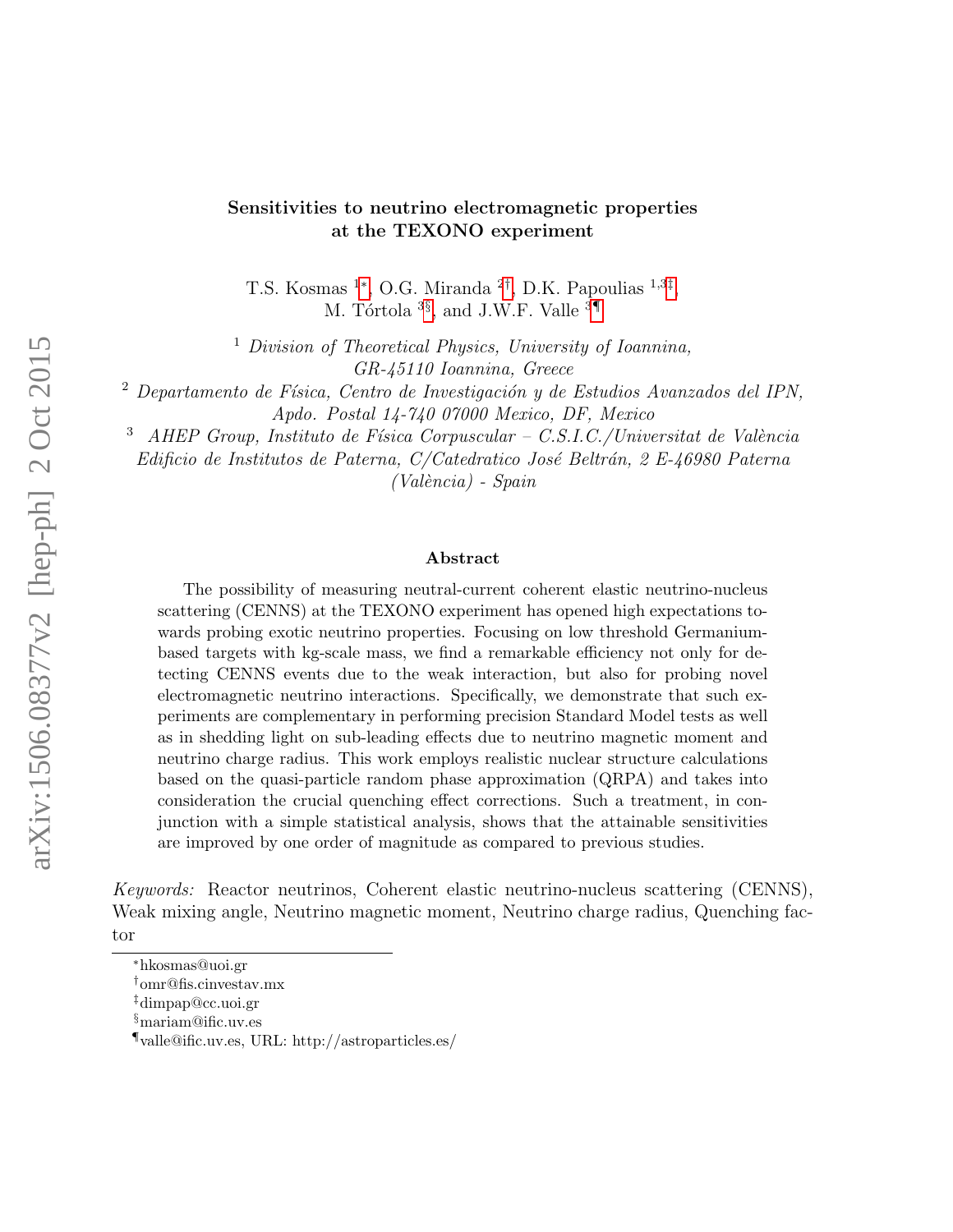#### Sensitivities to neutrino electromagnetic properties at the TEXONO experiment

T.S. Kosmas <sup>1\*</sup>, O.G. Miranda <sup>2[†](#page-0-1)</sup>, D.K. Papoulias <sup>1,3[‡](#page-0-2)</sup>, M. Tórtola <sup>3[§](#page-0-3)</sup>, and J.W.F. Valle <sup>3[¶](#page-0-4)</sup>

<sup>1</sup> Division of Theoretical Physics, University of Ioannina, GR-45110 Ioannina, Greece

 $2$  Departamento de Física, Centro de Investigación y de Estudios Avanzados del IPN, Apdo. Postal 14-740 07000 Mexico, DF, Mexico

 $\triangle$ AHEP Group, Instituto de Física Corpuscular – C.S.I.C./Universitat de València

Edificio de Institutos de Paterna, C/Catedratico José Beltrán, 2 E-46980 Paterna  $(València)$  - Spain

#### Abstract

The possibility of measuring neutral-current coherent elastic neutrino-nucleus scattering (CENNS) at the TEXONO experiment has opened high expectations towards probing exotic neutrino properties. Focusing on low threshold Germaniumbased targets with kg-scale mass, we find a remarkable efficiency not only for detecting CENNS events due to the weak interaction, but also for probing novel electromagnetic neutrino interactions. Specifically, we demonstrate that such experiments are complementary in performing precision Standard Model tests as well as in shedding light on sub-leading effects due to neutrino magnetic moment and neutrino charge radius. This work employs realistic nuclear structure calculations based on the quasi-particle random phase approximation (QRPA) and takes into consideration the crucial quenching effect corrections. Such a treatment, in conjunction with a simple statistical analysis, shows that the attainable sensitivities are improved by one order of magnitude as compared to previous studies.

Keywords: Reactor neutrinos, Coherent elastic neutrino-nucleus scattering (CENNS), Weak mixing angle, Neutrino magnetic moment, Neutrino charge radius, Quenching factor

<span id="page-0-0"></span><sup>∗</sup>hkosmas@uoi.gr

<span id="page-0-1"></span><sup>†</sup>omr@fis.cinvestav.mx

<span id="page-0-2"></span><sup>‡</sup>dimpap@cc.uoi.gr

<span id="page-0-3"></span><sup>§</sup>mariam@ific.uv.es

<span id="page-0-4"></span><sup>¶</sup>valle@ific.uv.es, URL: http://astroparticles.es/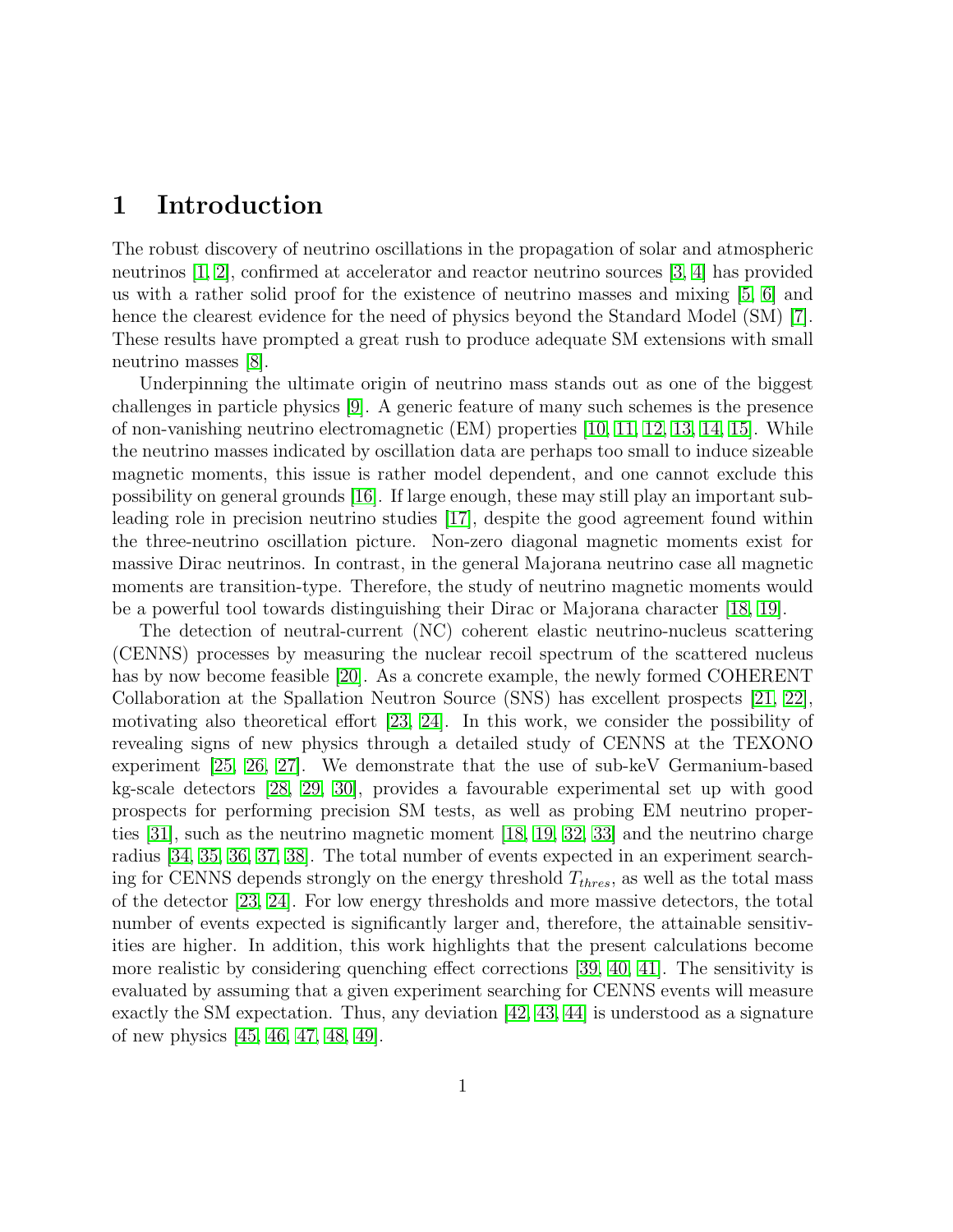### 1 Introduction

The robust discovery of neutrino oscillations in the propagation of solar and atmospheric neutrinos [\[1,](#page-12-0) [2\]](#page-12-1), confirmed at accelerator and reactor neutrino sources [\[3,](#page-12-2) [4\]](#page-12-3) has provided us with a rather solid proof for the existence of neutrino masses and mixing [\[5,](#page-12-4) [6\]](#page-13-0) and hence the clearest evidence for the need of physics beyond the Standard Model (SM) [\[7\]](#page-13-1). These results have prompted a great rush to produce adequate SM extensions with small neutrino masses [\[8\]](#page-13-2).

Underpinning the ultimate origin of neutrino mass stands out as one of the biggest challenges in particle physics [\[9\]](#page-13-3). A generic feature of many such schemes is the presence of non-vanishing neutrino electromagnetic (EM) properties [\[10,](#page-13-4) [11,](#page-13-5) [12,](#page-13-6) [13,](#page-13-7) [14,](#page-13-8) [15\]](#page-13-9). While the neutrino masses indicated by oscillation data are perhaps too small to induce sizeable magnetic moments, this issue is rather model dependent, and one cannot exclude this possibility on general grounds [\[16\]](#page-13-10). If large enough, these may still play an important subleading role in precision neutrino studies [\[17\]](#page-13-11), despite the good agreement found within the three-neutrino oscillation picture. Non-zero diagonal magnetic moments exist for massive Dirac neutrinos. In contrast, in the general Majorana neutrino case all magnetic moments are transition-type. Therefore, the study of neutrino magnetic moments would be a powerful tool towards distinguishing their Dirac or Majorana character [\[18,](#page-14-0) [19\]](#page-14-1).

The detection of neutral-current (NC) coherent elastic neutrino-nucleus scattering (CENNS) processes by measuring the nuclear recoil spectrum of the scattered nucleus has by now become feasible [\[20\]](#page-14-2). As a concrete example, the newly formed COHERENT Collaboration at the Spallation Neutron Source (SNS) has excellent prospects [\[21,](#page-14-3) [22\]](#page-14-4), motivating also theoretical effort [\[23,](#page-14-5) [24\]](#page-14-6). In this work, we consider the possibility of revealing signs of new physics through a detailed study of CENNS at the TEXONO experiment [\[25,](#page-14-7) [26,](#page-14-8) [27\]](#page-14-9). We demonstrate that the use of sub-keV Germanium-based kg-scale detectors [\[28,](#page-14-10) [29,](#page-15-0) [30\]](#page-15-1), provides a favourable experimental set up with good prospects for performing precision SM tests, as well as probing EM neutrino properties [\[31\]](#page-15-2), such as the neutrino magnetic moment [\[18,](#page-14-0) [19,](#page-14-1) [32,](#page-15-3) [33\]](#page-15-4) and the neutrino charge radius [\[34,](#page-15-5) [35,](#page-15-6) [36,](#page-15-7) [37,](#page-15-8) [38\]](#page-15-9). The total number of events expected in an experiment searching for CENNS depends strongly on the energy threshold  $T_{thres}$ , as well as the total mass of the detector [\[23,](#page-14-5) [24\]](#page-14-6). For low energy thresholds and more massive detectors, the total number of events expected is significantly larger and, therefore, the attainable sensitivities are higher. In addition, this work highlights that the present calculations become more realistic by considering quenching effect corrections [\[39,](#page-15-10) [40,](#page-16-0) [41\]](#page-16-1). The sensitivity is evaluated by assuming that a given experiment searching for CENNS events will measure exactly the SM expectation. Thus, any deviation [\[42,](#page-16-2) [43,](#page-16-3) [44\]](#page-16-4) is understood as a signature of new physics [\[45,](#page-16-5) [46,](#page-16-6) [47,](#page-16-7) [48,](#page-16-8) [49\]](#page-16-9).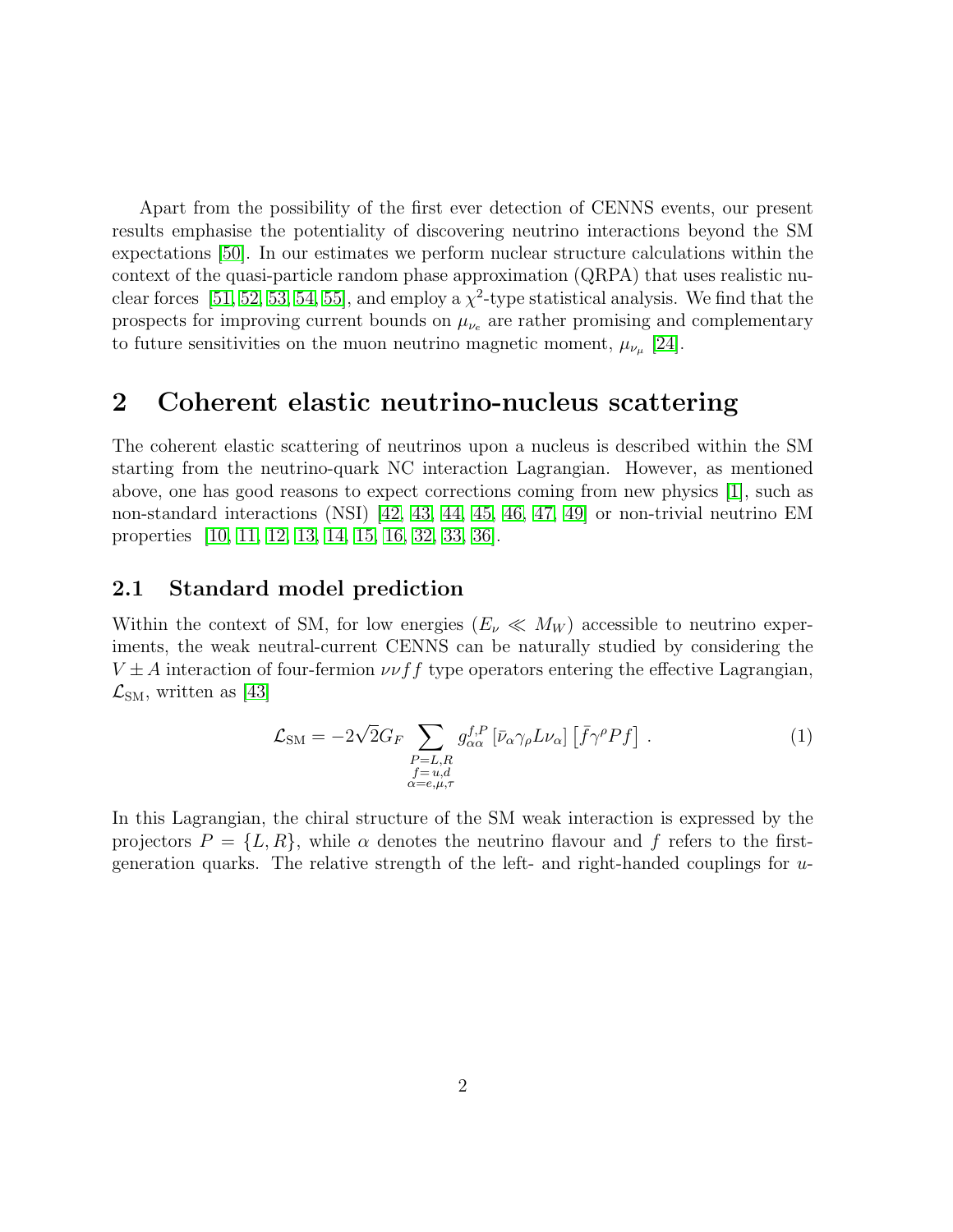Apart from the possibility of the first ever detection of CENNS events, our present results emphasise the potentiality of discovering neutrino interactions beyond the SM expectations [\[50\]](#page-16-10). In our estimates we perform nuclear structure calculations within the context of the quasi-particle random phase approximation (QRPA) that uses realistic nu-clear forces [\[51,](#page-17-0) [52,](#page-17-1) [53,](#page-17-2) [54,](#page-17-3) [55\]](#page-17-4), and employ a  $\chi^2$ -type statistical analysis. We find that the prospects for improving current bounds on  $\mu_{\nu_e}$  are rather promising and complementary to future sensitivities on the muon neutrino magnetic moment,  $\mu_{\nu_{\mu}}$  [\[24\]](#page-14-6).

#### 2 Coherent elastic neutrino-nucleus scattering

The coherent elastic scattering of neutrinos upon a nucleus is described within the SM starting from the neutrino-quark NC interaction Lagrangian. However, as mentioned above, one has good reasons to expect corrections coming from new physics [\[1\]](#page-12-0), such as non-standard interactions (NSI) [\[42,](#page-16-2) [43,](#page-16-3) [44,](#page-16-4) [45,](#page-16-5) [46,](#page-16-6) [47,](#page-16-7) [49\]](#page-16-9) or non-trivial neutrino EM properties [\[10,](#page-13-4) [11,](#page-13-5) [12,](#page-13-6) [13,](#page-13-7) [14,](#page-13-8) [15,](#page-13-9) [16,](#page-13-10) [32,](#page-15-3) [33,](#page-15-4) [36\]](#page-15-7).

#### 2.1 Standard model prediction

Within the context of SM, for low energies  $(E_\nu \ll M_W)$  accessible to neutrino experiments, the weak neutral-current CENNS can be naturally studied by considering the  $V \pm A$  interaction of four-fermion  $\nu \nu f f$  type operators entering the effective Lagrangian,  $\mathcal{L}_{\text{SM}}$ , written as [\[43\]](#page-16-3)

<span id="page-2-0"></span>
$$
\mathcal{L}_{\rm SM} = -2\sqrt{2}G_F \sum_{\substack{P=L,R\\f=u,d\\ \alpha=e,\mu,\tau}} g_{\alpha\alpha}^{f,P} \left[ \bar{\nu}_{\alpha} \gamma_{\rho} L \nu_{\alpha} \right] \left[ \bar{f} \gamma^{\rho} P f \right] . \tag{1}
$$

In this Lagrangian, the chiral structure of the SM weak interaction is expressed by the projectors  $P = \{L, R\}$ , while  $\alpha$  denotes the neutrino flavour and f refers to the firstgeneration quarks. The relative strength of the left- and right-handed couplings for  $u$ -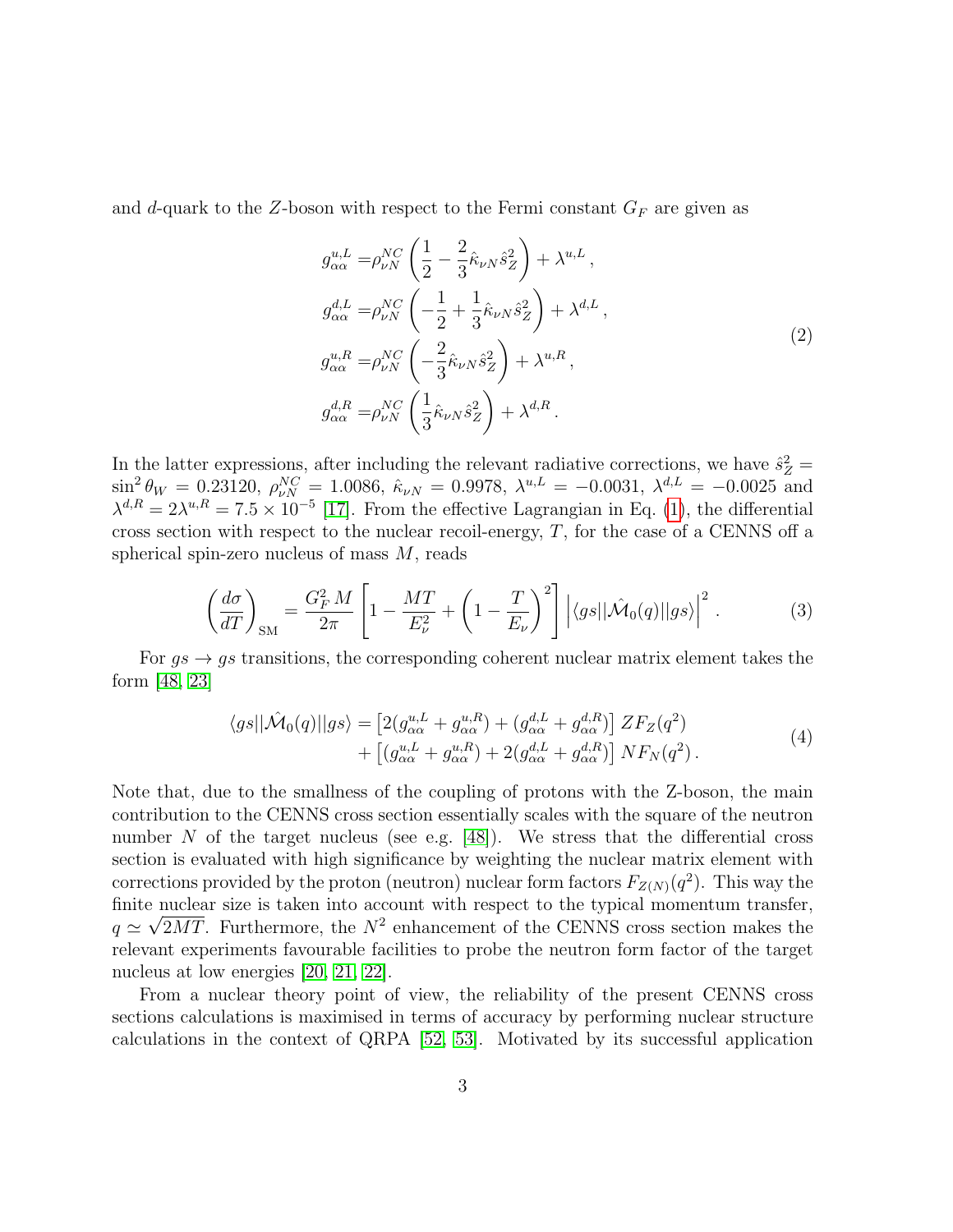and d-quark to the Z-boson with respect to the Fermi constant  $G_F$  are given as

$$
g_{\alpha\alpha}^{u,L} = \rho_{\nu N}^{NC} \left( \frac{1}{2} - \frac{2}{3} \hat{\kappa}_{\nu N} \hat{s}_Z^2 \right) + \lambda^{u,L},
$$
  
\n
$$
g_{\alpha\alpha}^{d,L} = \rho_{\nu N}^{NC} \left( -\frac{1}{2} + \frac{1}{3} \hat{\kappa}_{\nu N} \hat{s}_Z^2 \right) + \lambda^{d,L},
$$
  
\n
$$
g_{\alpha\alpha}^{u,R} = \rho_{\nu N}^{NC} \left( -\frac{2}{3} \hat{\kappa}_{\nu N} \hat{s}_Z^2 \right) + \lambda^{u,R},
$$
  
\n
$$
g_{\alpha\alpha}^{d,R} = \rho_{\nu N}^{NC} \left( \frac{1}{3} \hat{\kappa}_{\nu N} \hat{s}_Z^2 \right) + \lambda^{d,R}.
$$
\n(2)

In the latter expressions, after including the relevant radiative corrections, we have  $\hat{s}_Z^2$  =  $\sin^2 \theta_W = 0.23120, \ \rho_{\nu N}^{NC} = 1.0086, \ \hat{\kappa}_{\nu N} = 0.9978, \ \lambda^{u,L} = -0.0031, \ \lambda^{d,L} = -0.0025 \text{ and}$  $\lambda^{d,R} = 2\lambda^{u,R} = 7.5 \times 10^{-5}$  [\[17\]](#page-13-11). From the effective Lagrangian in Eq. [\(1\)](#page-2-0), the differential cross section with respect to the nuclear recoil-energy, T, for the case of a CENNS off a spherical spin-zero nucleus of mass M, reads

$$
\left(\frac{d\sigma}{dT}\right)_{\rm SM} = \frac{G_F^2 M}{2\pi} \left[1 - \frac{MT}{E_\nu^2} + \left(1 - \frac{T}{E_\nu}\right)^2\right] \left|\langle gs||\hat{\mathcal{M}}_0(q)||gs\rangle\right|^2. \tag{3}
$$

<span id="page-3-0"></span>For  $qs \to qs$  transitions, the corresponding coherent nuclear matrix element takes the form [\[48,](#page-16-8) [23\]](#page-14-5)

$$
\langle gs||\hat{\mathcal{M}}_0(q)||gs\rangle = \left[2(g_{\alpha\alpha}^{u,L} + g_{\alpha\alpha}^{u,R}) + (g_{\alpha\alpha}^{d,L} + g_{\alpha\alpha}^{d,R})\right]ZF_Z(q^2) + \left[(g_{\alpha\alpha}^{u,L} + g_{\alpha\alpha}^{u,R}) + 2(g_{\alpha\alpha}^{d,L} + g_{\alpha\alpha}^{d,R})\right]NF_N(q^2).
$$
\n(4)

Note that, due to the smallness of the coupling of protons with the Z-boson, the main contribution to the CENNS cross section essentially scales with the square of the neutron number  $N$  of the target nucleus (see e.g. [\[48\]](#page-16-8)). We stress that the differential cross section is evaluated with high significance by weighting the nuclear matrix element with corrections provided by the proton (neutron) nuclear form factors  $F_{Z(N)}(q^2)$ . This way the finite nuclear size is taken into account with respect to the typical momentum transfer,  $q \simeq \sqrt{2MT}$ . Furthermore, the  $N^2$  enhancement of the CENNS cross section makes the relevant experiments favourable facilities to probe the neutron form factor of the target nucleus at low energies [\[20,](#page-14-2) [21,](#page-14-3) [22\]](#page-14-4).

From a nuclear theory point of view, the reliability of the present CENNS cross sections calculations is maximised in terms of accuracy by performing nuclear structure calculations in the context of QRPA [\[52,](#page-17-1) [53\]](#page-17-2). Motivated by its successful application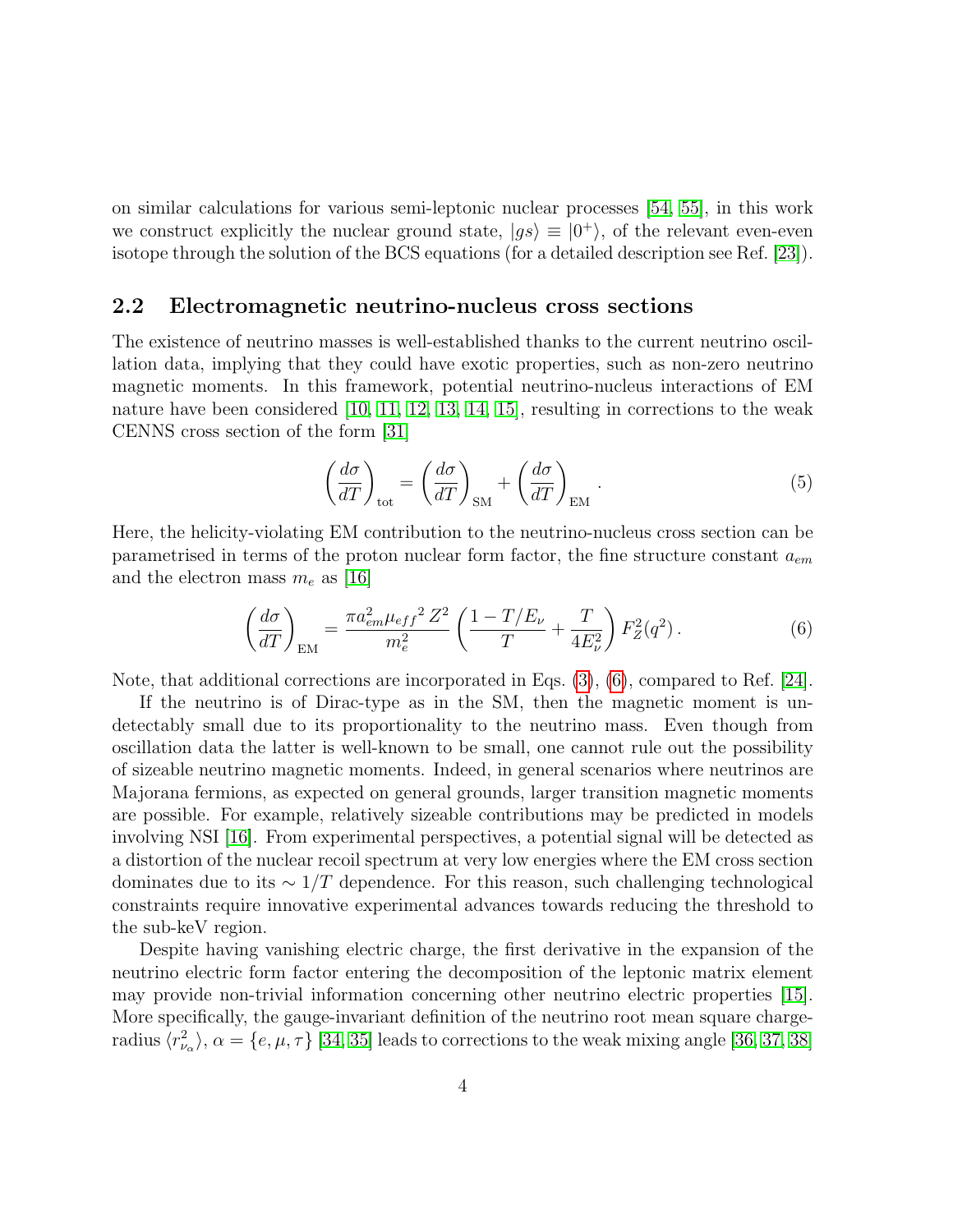on similar calculations for various semi-leptonic nuclear processes [\[54,](#page-17-3) [55\]](#page-17-4), in this work we construct explicitly the nuclear ground state,  $|gs\rangle \equiv |0^{+}\rangle$ , of the relevant even-even isotope through the solution of the BCS equations (for a detailed description see Ref. [\[23\]](#page-14-5)).

#### 2.2 Electromagnetic neutrino-nucleus cross sections

The existence of neutrino masses is well-established thanks to the current neutrino oscillation data, implying that they could have exotic properties, such as non-zero neutrino magnetic moments. In this framework, potential neutrino-nucleus interactions of EM nature have been considered [\[10,](#page-13-4) [11,](#page-13-5) [12,](#page-13-6) [13,](#page-13-7) [14,](#page-13-8) [15\]](#page-13-9), resulting in corrections to the weak CENNS cross section of the form [\[31\]](#page-15-2)

<span id="page-4-1"></span><span id="page-4-0"></span>
$$
\left(\frac{d\sigma}{dT}\right)_{\text{tot}} = \left(\frac{d\sigma}{dT}\right)_{\text{SM}} + \left(\frac{d\sigma}{dT}\right)_{\text{EM}}.\tag{5}
$$

Here, the helicity-violating EM contribution to the neutrino-nucleus cross section can be parametrised in terms of the proton nuclear form factor, the fine structure constant  $a_{em}$ and the electron mass  $m_e$  as [\[16\]](#page-13-10)

$$
\left(\frac{d\sigma}{dT}\right)_{\text{EM}} = \frac{\pi a_{em}^2 \mu_{eff}^2 Z^2}{m_e^2} \left(\frac{1 - T/E_{\nu}}{T} + \frac{T}{4E_{\nu}^2}\right) F_Z^2(q^2). \tag{6}
$$

Note, that additional corrections are incorporated in Eqs. [\(3\)](#page-3-0), [\(6\)](#page-4-0), compared to Ref. [\[24\]](#page-14-6).

If the neutrino is of Dirac-type as in the SM, then the magnetic moment is undetectably small due to its proportionality to the neutrino mass. Even though from oscillation data the latter is well-known to be small, one cannot rule out the possibility of sizeable neutrino magnetic moments. Indeed, in general scenarios where neutrinos are Majorana fermions, as expected on general grounds, larger transition magnetic moments are possible. For example, relatively sizeable contributions may be predicted in models involving NSI [\[16\]](#page-13-10). From experimental perspectives, a potential signal will be detected as a distortion of the nuclear recoil spectrum at very low energies where the EM cross section dominates due to its  $\sim 1/T$  dependence. For this reason, such challenging technological constraints require innovative experimental advances towards reducing the threshold to the sub-keV region.

Despite having vanishing electric charge, the first derivative in the expansion of the neutrino electric form factor entering the decomposition of the leptonic matrix element may provide non-trivial information concerning other neutrino electric properties [\[15\]](#page-13-9). More specifically, the gauge-invariant definition of the neutrino root mean square chargeradius  $\langle r_{\nu_{\alpha}}^2 \rangle$ ,  $\alpha = \{e, \mu, \tau\}$  [\[34,](#page-15-5) [35\]](#page-15-6) leads to corrections to the weak mixing angle [\[36,](#page-15-7) [37,](#page-15-8) [38\]](#page-15-9)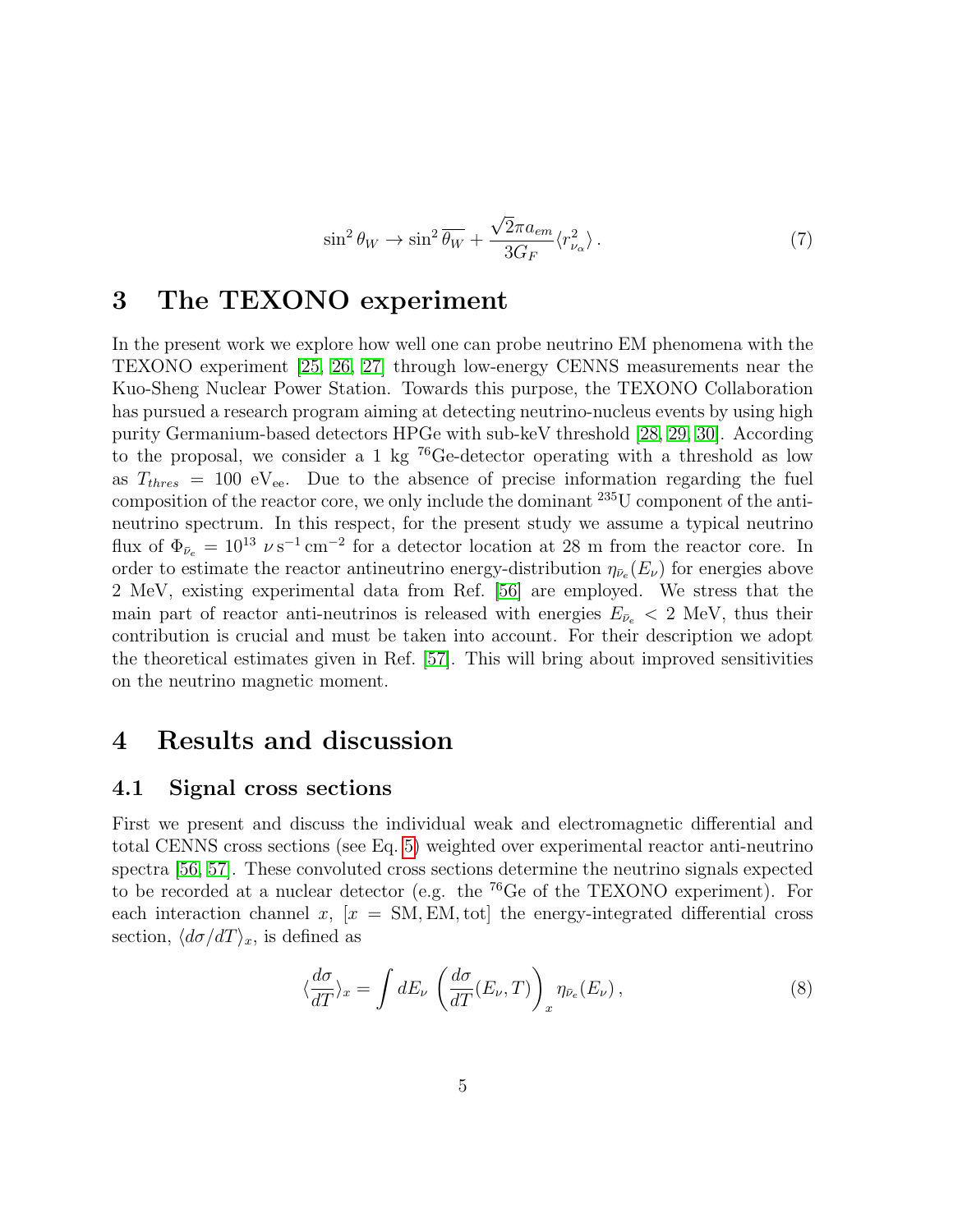$$
\sin^2 \theta_W \to \sin^2 \overline{\theta_W} + \frac{\sqrt{2} \pi a_{em}}{3G_F} \langle r_{\nu_\alpha}^2 \rangle \,. \tag{7}
$$

### <span id="page-5-0"></span>3 The TEXONO experiment

In the present work we explore how well one can probe neutrino EM phenomena with the TEXONO experiment [\[25,](#page-14-7) [26,](#page-14-8) [27\]](#page-14-9) through low-energy CENNS measurements near the Kuo-Sheng Nuclear Power Station. Towards this purpose, the TEXONO Collaboration has pursued a research program aiming at detecting neutrino-nucleus events by using high purity Germanium-based detectors HPGe with sub-keV threshold [\[28,](#page-14-10) [29,](#page-15-0) [30\]](#page-15-1). According to the proposal, we consider a 1 kg <sup>76</sup>Ge-detector operating with a threshold as low as  $T_{thres}$  = 100 eV<sub>ee</sub>. Due to the absence of precise information regarding the fuel composition of the reactor core, we only include the dominant <sup>235</sup>U component of the antineutrino spectrum. In this respect, for the present study we assume a typical neutrino flux of  $\Phi_{\bar{\nu}_e} = 10^{13} \nu s^{-1} \text{ cm}^{-2}$  for a detector location at 28 m from the reactor core. In order to estimate the reactor antineutrino energy-distribution  $\eta_{\bar{\nu}_e}(E_\nu)$  for energies above 2 MeV, existing experimental data from Ref. [\[56\]](#page-17-5) are employed. We stress that the main part of reactor anti-neutrinos is released with energies  $E_{\bar{\nu}_e} < 2$  MeV, thus their contribution is crucial and must be taken into account. For their description we adopt the theoretical estimates given in Ref. [\[57\]](#page-17-6). This will bring about improved sensitivities on the neutrino magnetic moment.

### 4 Results and discussion

#### 4.1 Signal cross sections

First we present and discuss the individual weak and electromagnetic differential and total CENNS cross sections (see Eq. [5\)](#page-4-1) weighted over experimental reactor anti-neutrino spectra [\[56,](#page-17-5) [57\]](#page-17-6). These convoluted cross sections determine the neutrino signals expected to be recorded at a nuclear detector (e.g. the <sup>76</sup>Ge of the TEXONO experiment). For each interaction channel x,  $[x = SM, EM, tot]$  the energy-integrated differential cross section,  $\langle d\sigma/dT \rangle_x$ , is defined as

$$
\langle \frac{d\sigma}{dT} \rangle_x = \int dE_\nu \left( \frac{d\sigma}{dT} (E_\nu, T) \right)_x \eta_{\bar{\nu}_e} (E_\nu), \tag{8}
$$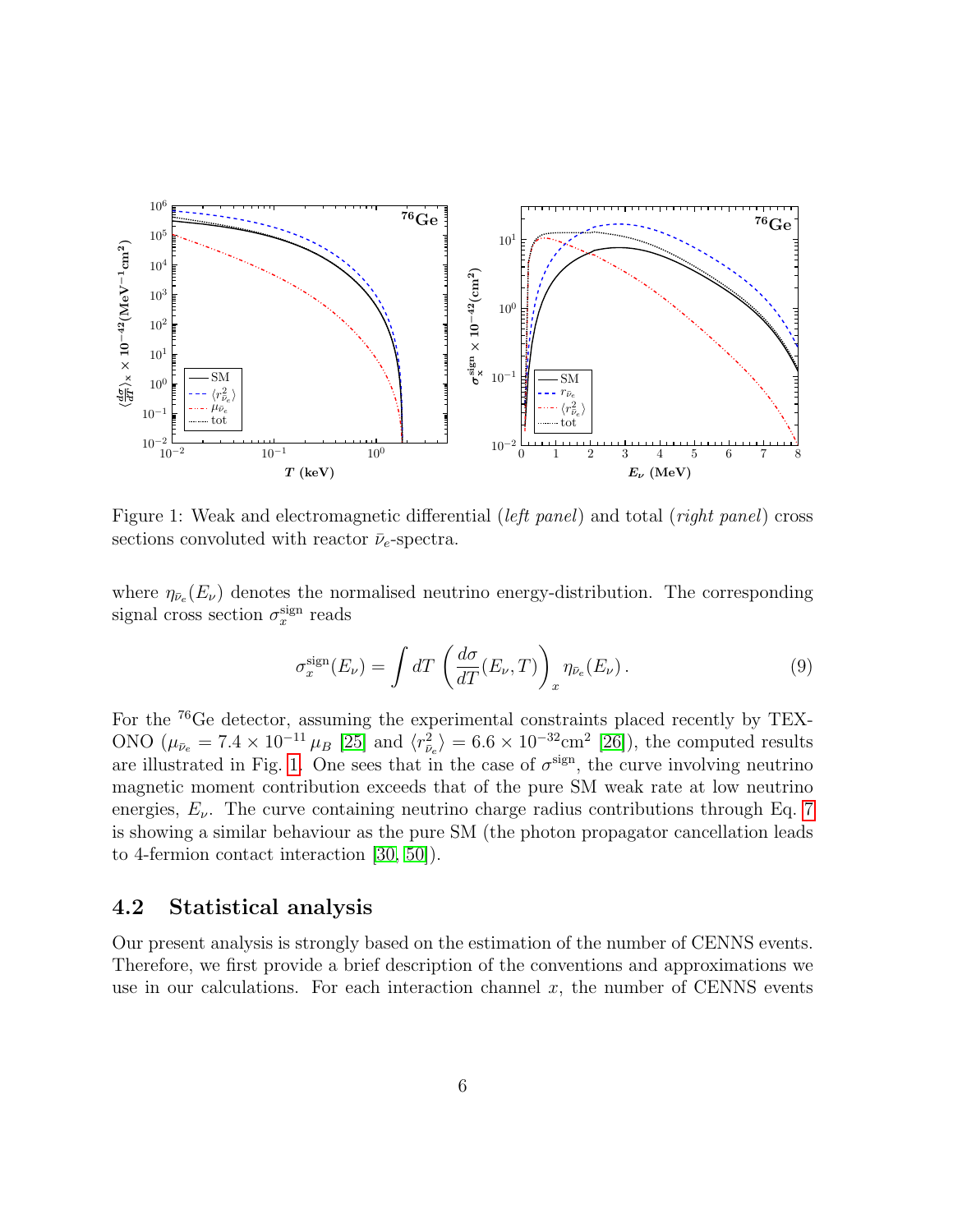

Figure 1: Weak and electromagnetic differential (*left panel*) and total (*right panel*) cross sections convoluted with reactor  $\bar{\nu}_e$ -spectra.

where  $\eta_{\bar{\nu}_e}(E_\nu)$  denotes the normalised neutrino energy-distribution. The corresponding signal cross section  $\sigma_x^{\text{sign}}$  reads

<span id="page-6-0"></span>
$$
\sigma_x^{\text{sign}}(E_\nu) = \int dT \left( \frac{d\sigma}{dT}(E_\nu, T) \right)_x \eta_{\bar{\nu}_e}(E_\nu). \tag{9}
$$

For the <sup>76</sup>Ge detector, assuming the experimental constraints placed recently by TEX-ONO  $(\mu_{\bar{\nu}_e} = 7.4 \times 10^{-11} \mu_B [25]$  $(\mu_{\bar{\nu}_e} = 7.4 \times 10^{-11} \mu_B [25]$  and  $\langle r_{\bar{\nu}_e}^2 \rangle = 6.6 \times 10^{-32} \text{cm}^2 [26]$  $\langle r_{\bar{\nu}_e}^2 \rangle = 6.6 \times 10^{-32} \text{cm}^2 [26]$ , the computed results are illustrated in Fig. [1.](#page-6-0) One sees that in the case of  $\sigma^{\text{sign}}$ , the curve involving neutrino magnetic moment contribution exceeds that of the pure SM weak rate at low neutrino energies,  $E_{\nu}$ . The curve containing neutrino charge radius contributions through Eq. [7](#page-5-0) is showing a similar behaviour as the pure SM (the photon propagator cancellation leads to 4-fermion contact interaction [\[30,](#page-15-1) [50\]](#page-16-10)).

#### 4.2 Statistical analysis

Our present analysis is strongly based on the estimation of the number of CENNS events. Therefore, we first provide a brief description of the conventions and approximations we use in our calculations. For each interaction channel  $x$ , the number of CENNS events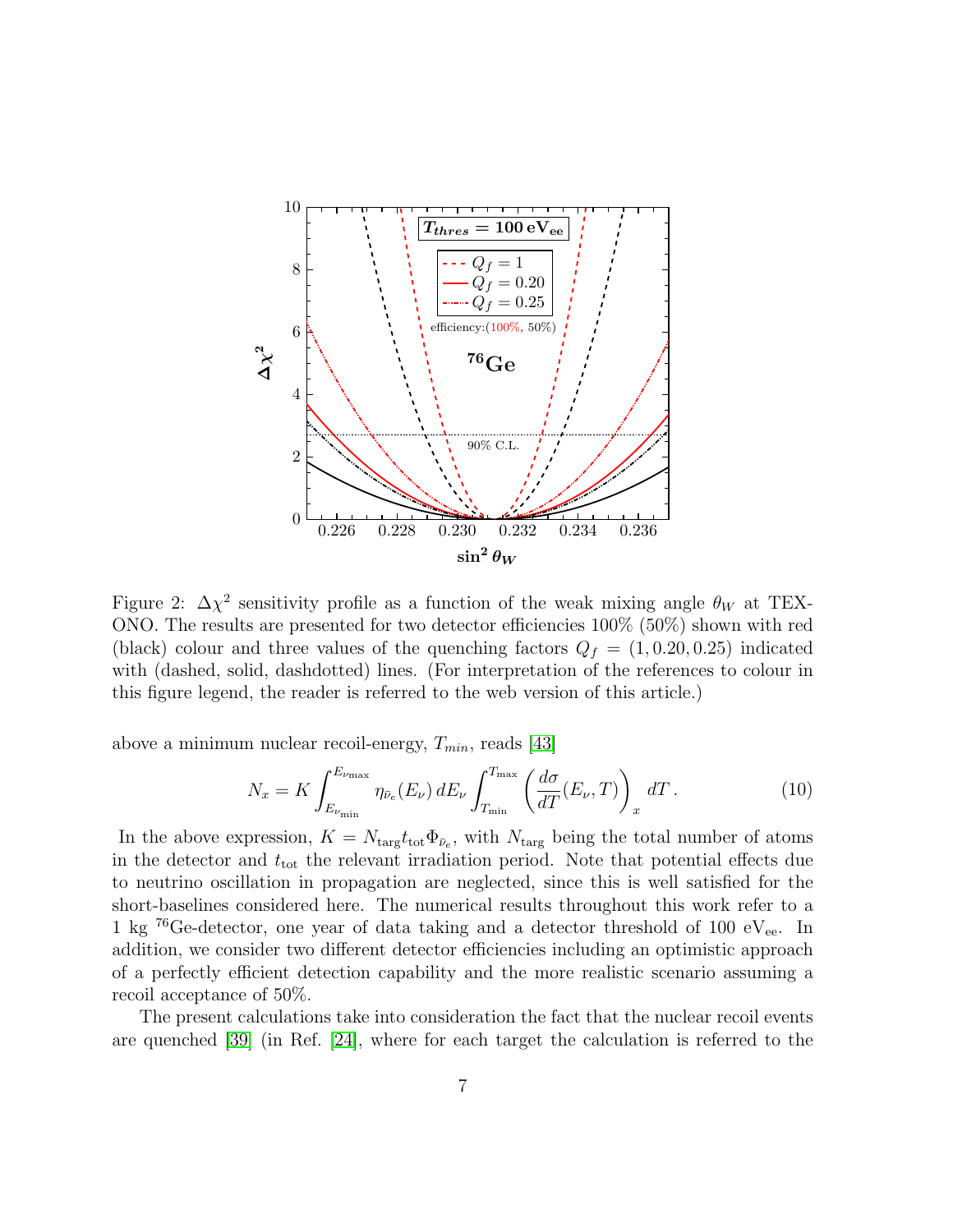

Figure 2:  $\Delta \chi^2$  sensitivity profile as a function of the weak mixing angle  $\theta_W$  at TEX-ONO. The results are presented for two detector efficiencies 100% (50%) shown with red (black) colour and three values of the quenching factors  $Q_f = (1, 0.20, 0.25)$  indicated with (dashed, solid, dashdotted) lines. (For interpretation of the references to colour in this figure legend, the reader is referred to the web version of this article.)

above a minimum nuclear recoil-energy,  $T_{min}$ , reads [\[43\]](#page-16-3)

<span id="page-7-0"></span>
$$
N_x = K \int_{E_{\nu_{\min}}}^{E_{\nu_{\max}}} \eta_{\bar{\nu}_e}(E_\nu) dE_\nu \int_{T_{\min}}^{T_{\max}} \left(\frac{d\sigma}{dT}(E_\nu, T)\right)_x dT.
$$
 (10)

In the above expression,  $K = N_{\text{targ}} t_{\text{tot}} \Phi_{\bar{\nu}_e}$ , with  $N_{\text{targ}}$  being the total number of atoms in the detector and  $t_{\text{tot}}$  the relevant irradiation period. Note that potential effects due to neutrino oscillation in propagation are neglected, since this is well satisfied for the short-baselines considered here. The numerical results throughout this work refer to a 1 kg  $^{76}$ Ge-detector, one year of data taking and a detector threshold of 100 eV<sub>ee</sub>. In addition, we consider two different detector efficiencies including an optimistic approach of a perfectly efficient detection capability and the more realistic scenario assuming a recoil acceptance of 50%.

The present calculations take into consideration the fact that the nuclear recoil events are quenched [\[39\]](#page-15-10) (in Ref. [\[24\]](#page-14-6), where for each target the calculation is referred to the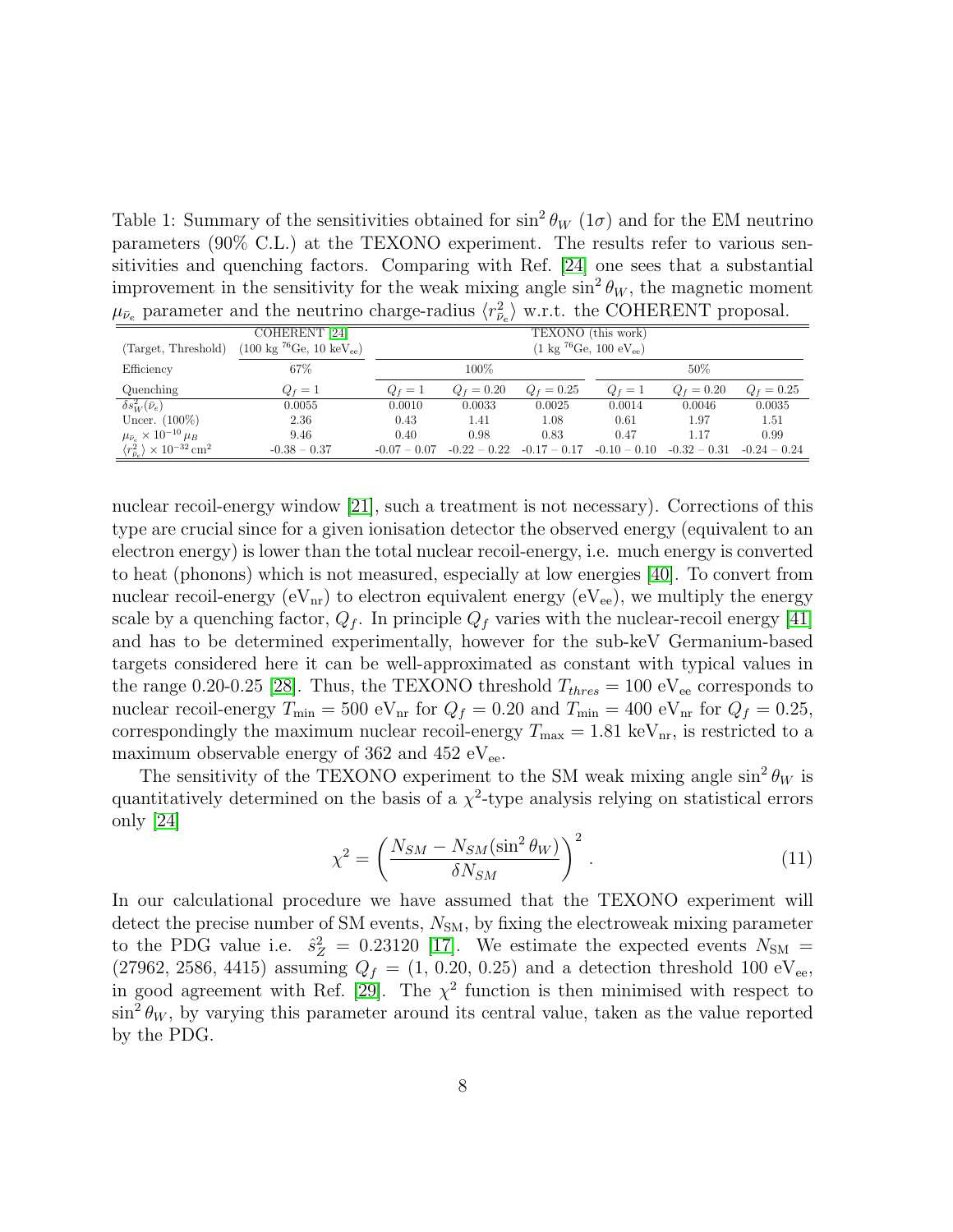<span id="page-8-0"></span>Table 1: Summary of the sensitivities obtained for  $\sin^2 \theta_W$  (1 $\sigma$ ) and for the EM neutrino parameters (90% C.L.) at the TEXONO experiment. The results refer to various sensitivities and quenching factors. Comparing with Ref. [\[24\]](#page-14-6) one sees that a substantial improvement in the sensitivity for the weak mixing angle  $\sin^2 \theta_W$ , the magnetic moment  $\mu_{\bar{\nu}_e}$  parameter and the neutrino charge-radius  $\langle r_{\bar{\nu}_e}^2 \rangle$  w.r.t. the COHERENT proposal.

|                                                                    | COHERENT <sup>[24]</sup>                              | TEXONO (this work)                                    |                |                |                |                |                |
|--------------------------------------------------------------------|-------------------------------------------------------|-------------------------------------------------------|----------------|----------------|----------------|----------------|----------------|
| (Target, Threshold)                                                | $(100 \text{ kg}^{76}\text{Ge}, 10 \text{ keV}_{ee})$ | $(1 \text{ kg } ^{76}\text{Ge}, 100 \text{ eV}_{ee})$ |                |                |                |                |                |
| Efficiency                                                         | 67%                                                   |                                                       | 100%           |                |                | 50%            |                |
| Quenching                                                          | $Q_f=1$                                               | $Q_f=1$                                               | $Q_f = 0.20$   | $Q_f = 0.25$   | $Q_f=1$        | $Q_f = 0.20$   | $Q_f = 0.25$   |
| $\delta s_W^2(\bar{\nu}_e)$                                        | 0.0055                                                | 0.0010                                                | 0.0033         | 0.0025         | 0.0014         | 0.0046         | 0.0035         |
| Uncer. $(100\%)$                                                   | 2.36                                                  | 0.43                                                  | 1.41           | 1.08           | 0.61           | 1.97           | 1.51           |
| $\mu_{\bar{\nu}_e}\times 10^{-10}\,\mu_B$                          | 9.46                                                  | 0.40                                                  | 0.98           | 0.83           | 0.47           | 1.17           | 0.99           |
| $\langle r^2_{\bar{\nu} e} \rangle \times 10^{-32}\,\mathrm{cm}^2$ | $-0.38 - 0.37$                                        | $-0.07 - 0.07$                                        | $-0.22 - 0.22$ | $-0.17 - 0.17$ | $-0.10 - 0.10$ | $-0.32 - 0.31$ | $-0.24 - 0.24$ |

nuclear recoil-energy window [\[21\]](#page-14-3), such a treatment is not necessary). Corrections of this type are crucial since for a given ionisation detector the observed energy (equivalent to an electron energy) is lower than the total nuclear recoil-energy, i.e. much energy is converted to heat (phonons) which is not measured, especially at low energies [\[40\]](#page-16-0). To convert from nuclear recoil-energy  $(eV_{nr})$  to electron equivalent energy  $(eV_{ee})$ , we multiply the energy scale by a quenching factor,  $Q_f$ . In principle  $Q_f$  varies with the nuclear-recoil energy [\[41\]](#page-16-1) and has to be determined experimentally, however for the sub-keV Germanium-based targets considered here it can be well-approximated as constant with typical values in the range 0.20-0.25 [\[28\]](#page-14-10). Thus, the TEXONO threshold  $T_{thres} = 100 \text{ eV}_{ee}$  corresponds to nuclear recoil-energy  $T_{\text{min}} = 500 \text{ eV}_{\text{nr}}$  for  $Q_f = 0.20$  and  $T_{\text{min}} = 400 \text{ eV}_{\text{nr}}$  for  $Q_f = 0.25$ , correspondingly the maximum nuclear recoil-energy  $T_{\text{max}} = 1.81 \text{ keV}_{\text{nr}}$ , is restricted to a maximum observable energy of 362 and 452  $\rm eV_{ee}$ .

<span id="page-8-1"></span>The sensitivity of the TEXONO experiment to the SM weak mixing angle  $\sin^2 \theta_W$  is quantitatively determined on the basis of a  $\chi^2$ -type analysis relying on statistical errors only [\[24\]](#page-14-6)

$$
\chi^2 = \left(\frac{N_{SM} - N_{SM}(\sin^2 \theta_W)}{\delta N_{SM}}\right)^2.
$$
\n(11)

In our calculational procedure we have assumed that the TEXONO experiment will detect the precise number of SM events,  $N_{SM}$ , by fixing the electroweak mixing parameter to the PDG value i.e.  $\hat{s}_Z^2 = 0.23120$  [\[17\]](#page-13-11). We estimate the expected events  $N_{\rm SM} =$ (27962, 2586, 4415) assuming  $Q_f = (1, 0.20, 0.25)$  and a detection threshold 100 eV<sub>ee</sub>, in good agreement with Ref. [\[29\]](#page-15-0). The  $\chi^2$  function is then minimised with respect to  $\sin^2 \theta_W$ , by varying this parameter around its central value, taken as the value reported by the PDG.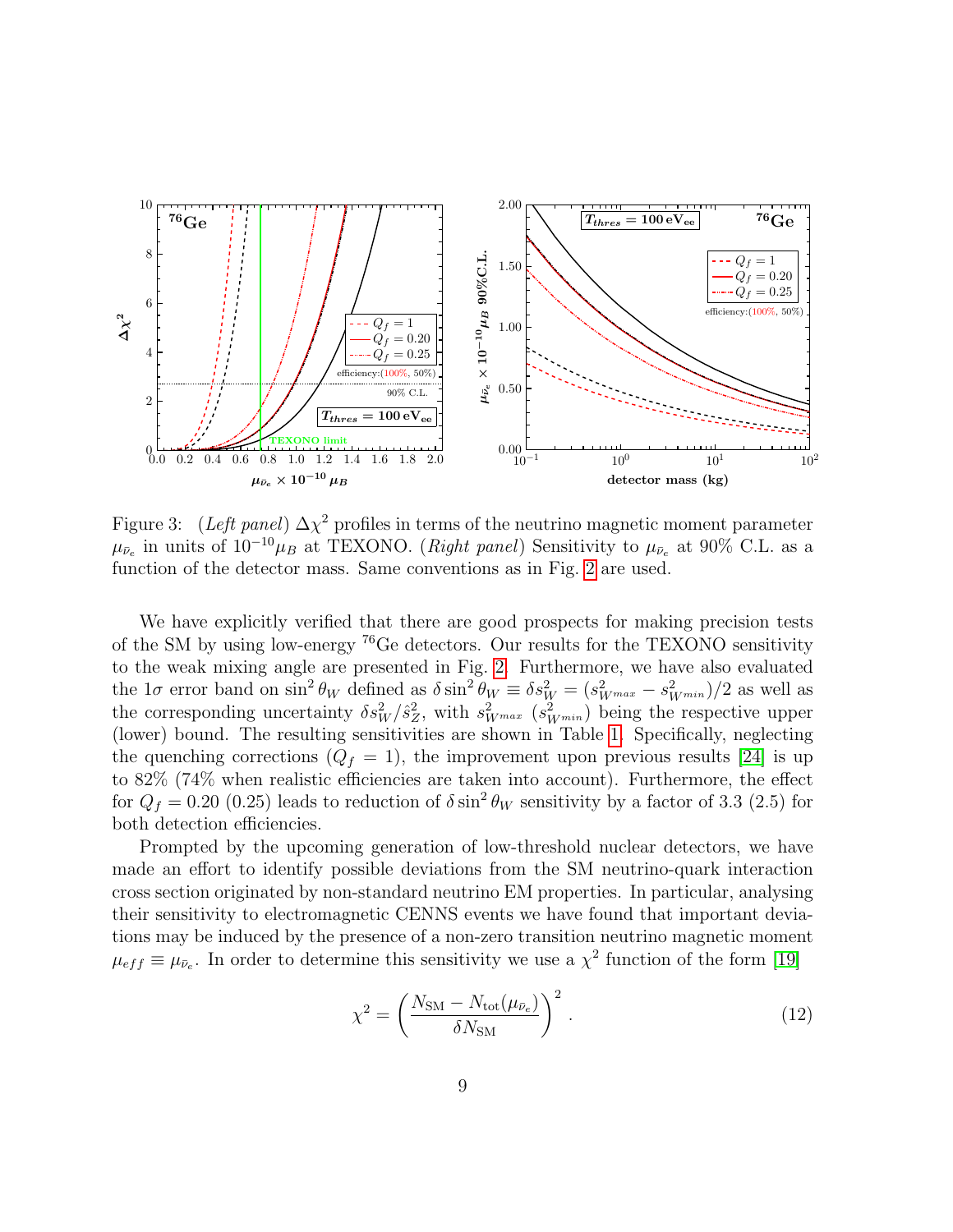

Figure 3: (Left panel)  $\Delta \chi^2$  profiles in terms of the neutrino magnetic moment parameter  $\mu_{\bar{\nu}_e}$  in units of  $10^{-10}\mu_B$  at TEXONO. (*Right panel*) Sensitivity to  $\mu_{\bar{\nu}_e}$  at 90% C.L. as a function of the detector mass. Same conventions as in Fig. [2](#page-7-0) are used.

We have explicitly verified that there are good prospects for making precision tests of the SM by using low-energy <sup>76</sup>Ge detectors. Our results for the TEXONO sensitivity to the weak mixing angle are presented in Fig. [2.](#page-7-0) Furthermore, we have also evaluated the 1 $\sigma$  error band on sin<sup>2</sup>  $\theta_W$  defined as  $\delta \sin^2 \theta_W \equiv \delta s_W^2 = (s_{W^{max}}^2 - s_{W^{min}}^2)/2$  as well as the corresponding uncertainty  $\delta s_W^2/\hat{s}_Z^2$ , with  $s_{W^{max}}^2$  ( $s_{W^{min}}^2$ ) being the respective upper (lower) bound. The resulting sensitivities are shown in Table [1.](#page-8-0) Specifically, neglecting the quenching corrections  $(Q_f = 1)$ , the improvement upon previous results [\[24\]](#page-14-6) is up to 82% (74% when realistic efficiencies are taken into account). Furthermore, the effect for  $Q_f = 0.20$  (0.25) leads to reduction of  $\delta \sin^2 \theta_W$  sensitivity by a factor of 3.3 (2.5) for both detection efficiencies.

Prompted by the upcoming generation of low-threshold nuclear detectors, we have made an effort to identify possible deviations from the SM neutrino-quark interaction cross section originated by non-standard neutrino EM properties. In particular, analysing their sensitivity to electromagnetic CENNS events we have found that important deviations may be induced by the presence of a non-zero transition neutrino magnetic moment  $\mu_{eff} \equiv \mu_{\bar{\nu}_e}$ . In order to determine this sensitivity we use a  $\chi^2$  function of the form [\[19\]](#page-14-1)

<span id="page-9-1"></span><span id="page-9-0"></span>
$$
\chi^2 = \left(\frac{N_{\rm SM} - N_{\rm tot}(\mu_{\bar{\nu}_e})}{\delta N_{\rm SM}}\right)^2.
$$
 (12)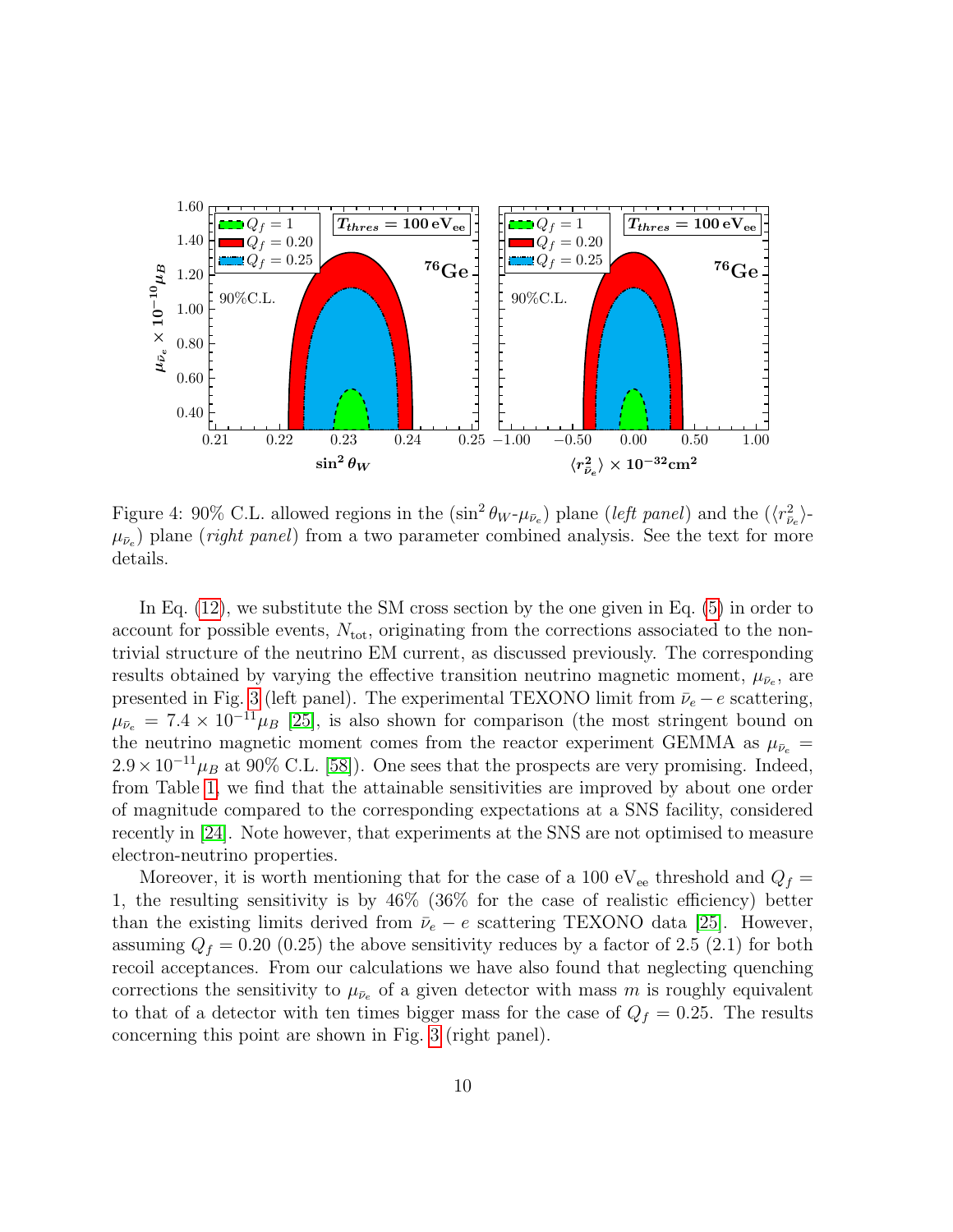

<span id="page-10-0"></span>Figure 4: 90% C.L. allowed regions in the  $(\sin^2 \theta_W - \mu_{\bar{\nu}_e})$  plane (*left panel*) and the  $(\langle r_{\bar{\nu}_e}^2 \rangle \mu_{\bar{\nu}_e}$ ) plane (*right panel*) from a two parameter combined analysis. See the text for more details.

In Eq.  $(12)$ , we substitute the SM cross section by the one given in Eq.  $(5)$  in order to account for possible events,  $N_{\text{tot}}$ , originating from the corrections associated to the nontrivial structure of the neutrino EM current, as discussed previously. The corresponding results obtained by varying the effective transition neutrino magnetic moment,  $\mu_{\bar{\nu}_e}$ , are presented in Fig. [3](#page-9-1) (left panel). The experimental TEXONO limit from  $\bar{\nu}_e - e$  scattering,  $\mu_{\bar{\nu}_e} = 7.4 \times 10^{-11} \mu_B$  [\[25\]](#page-14-7), is also shown for comparison (the most stringent bound on the neutrino magnetic moment comes from the reactor experiment GEMMA as  $\mu_{\bar{\nu}_e}$  =  $2.9 \times 10^{-11} \mu_B$  at 90% C.L. [\[58\]](#page-17-7)). One sees that the prospects are very promising. Indeed, from Table [1,](#page-8-0) we find that the attainable sensitivities are improved by about one order of magnitude compared to the corresponding expectations at a SNS facility, considered recently in [\[24\]](#page-14-6). Note however, that experiments at the SNS are not optimised to measure electron-neutrino properties.

Moreover, it is worth mentioning that for the case of a 100 eV<sub>ee</sub> threshold and  $Q_f =$ 1, the resulting sensitivity is by 46% (36% for the case of realistic efficiency) better than the existing limits derived from  $\bar{\nu}_e - e$  scattering TEXONO data [\[25\]](#page-14-7). However, assuming  $Q_f = 0.20$  (0.25) the above sensitivity reduces by a factor of 2.5 (2.1) for both recoil acceptances. From our calculations we have also found that neglecting quenching corrections the sensitivity to  $\mu_{\bar{\nu}_e}$  of a given detector with mass m is roughly equivalent to that of a detector with ten times bigger mass for the case of  $Q_f = 0.25$ . The results concerning this point are shown in Fig. [3](#page-9-1) (right panel).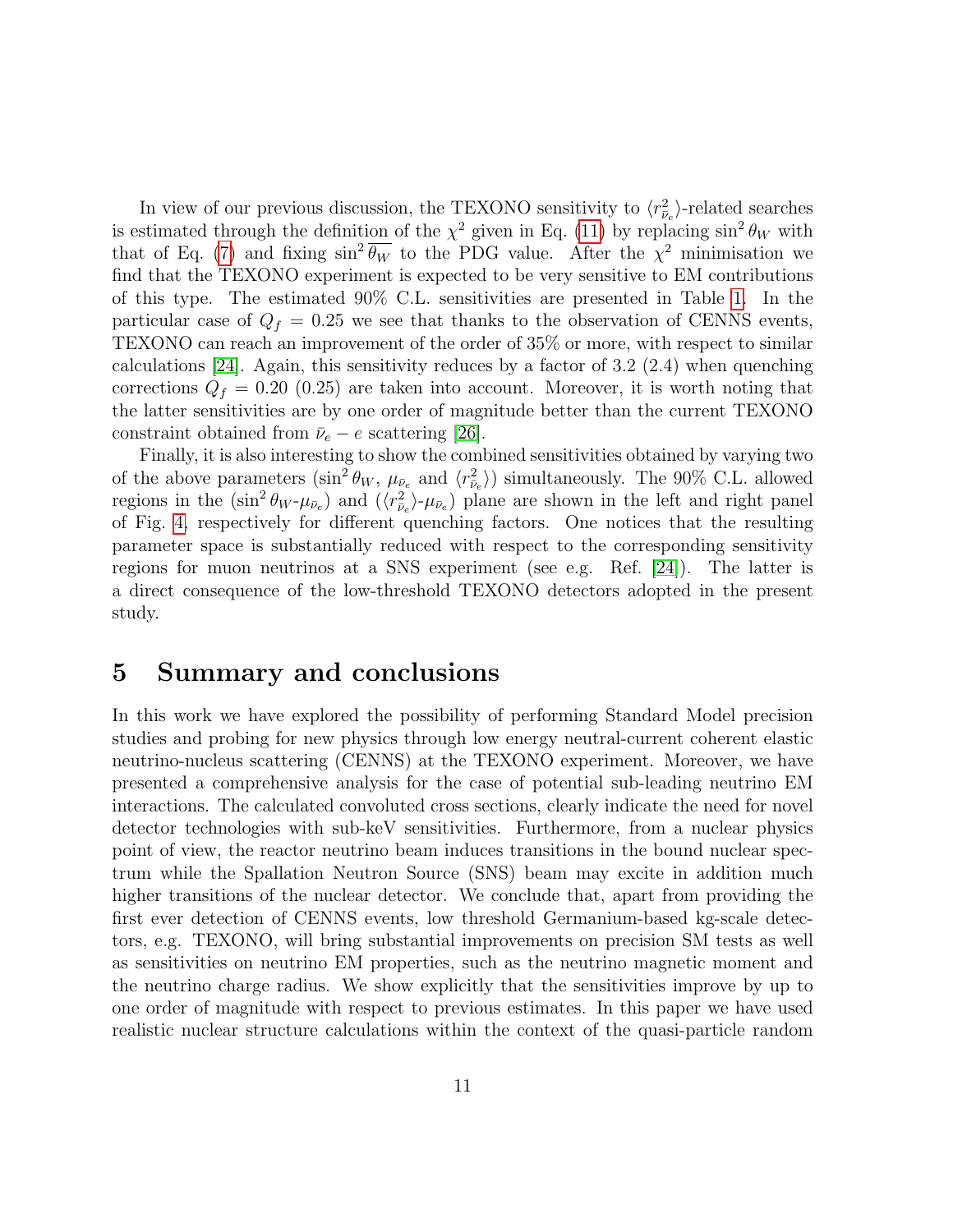In view of our previous discussion, the TEXONO sensitivity to  $\langle r_{\bar{\nu}_e}^2 \rangle$ -related searches is estimated through the definition of the  $\chi^2$  given in Eq. [\(11\)](#page-8-1) by replacing  $\sin^2 \theta_W$  with that of Eq. [\(7\)](#page-5-0) and fixing  $\sin^2 \overline{\theta_W}$  to the PDG value. After the  $\chi^2$  minimisation we find that the TEXONO experiment is expected to be very sensitive to EM contributions of this type. The estimated 90% C.L. sensitivities are presented in Table [1.](#page-8-0) In the particular case of  $Q_f = 0.25$  we see that thanks to the observation of CENNS events, TEXONO can reach an improvement of the order of 35% or more, with respect to similar calculations  $[24]$ . Again, this sensitivity reduces by a factor of 3.2 (2.4) when quenching corrections  $Q_f = 0.20$  (0.25) are taken into account. Moreover, it is worth noting that the latter sensitivities are by one order of magnitude better than the current TEXONO constraint obtained from  $\bar{\nu}_e - e$  scattering [\[26\]](#page-14-8).

Finally, it is also interesting to show the combined sensitivities obtained by varying two of the above parameters  $(\sin^2 \theta_W, \mu_{\bar{\nu}_e} \text{ and } \langle r_{\bar{\nu}_e}^2 \rangle)$  simultaneously. The 90% C.L. allowed regions in the  $(\sin^2 \theta_W - \mu_{\bar{\nu}_e})$  and  $(\langle r_{\bar{\nu}_e}^2 \rangle - \mu_{\bar{\nu}_e})$  plane are shown in the left and right panel of Fig. [4,](#page-10-0) respectively for different quenching factors. One notices that the resulting parameter space is substantially reduced with respect to the corresponding sensitivity regions for muon neutrinos at a SNS experiment (see e.g. Ref. [\[24\]](#page-14-6)). The latter is a direct consequence of the low-threshold TEXONO detectors adopted in the present study.

## 5 Summary and conclusions

In this work we have explored the possibility of performing Standard Model precision studies and probing for new physics through low energy neutral-current coherent elastic neutrino-nucleus scattering (CENNS) at the TEXONO experiment. Moreover, we have presented a comprehensive analysis for the case of potential sub-leading neutrino EM interactions. The calculated convoluted cross sections, clearly indicate the need for novel detector technologies with sub-keV sensitivities. Furthermore, from a nuclear physics point of view, the reactor neutrino beam induces transitions in the bound nuclear spectrum while the Spallation Neutron Source (SNS) beam may excite in addition much higher transitions of the nuclear detector. We conclude that, apart from providing the first ever detection of CENNS events, low threshold Germanium-based kg-scale detectors, e.g. TEXONO, will bring substantial improvements on precision SM tests as well as sensitivities on neutrino EM properties, such as the neutrino magnetic moment and the neutrino charge radius. We show explicitly that the sensitivities improve by up to one order of magnitude with respect to previous estimates. In this paper we have used realistic nuclear structure calculations within the context of the quasi-particle random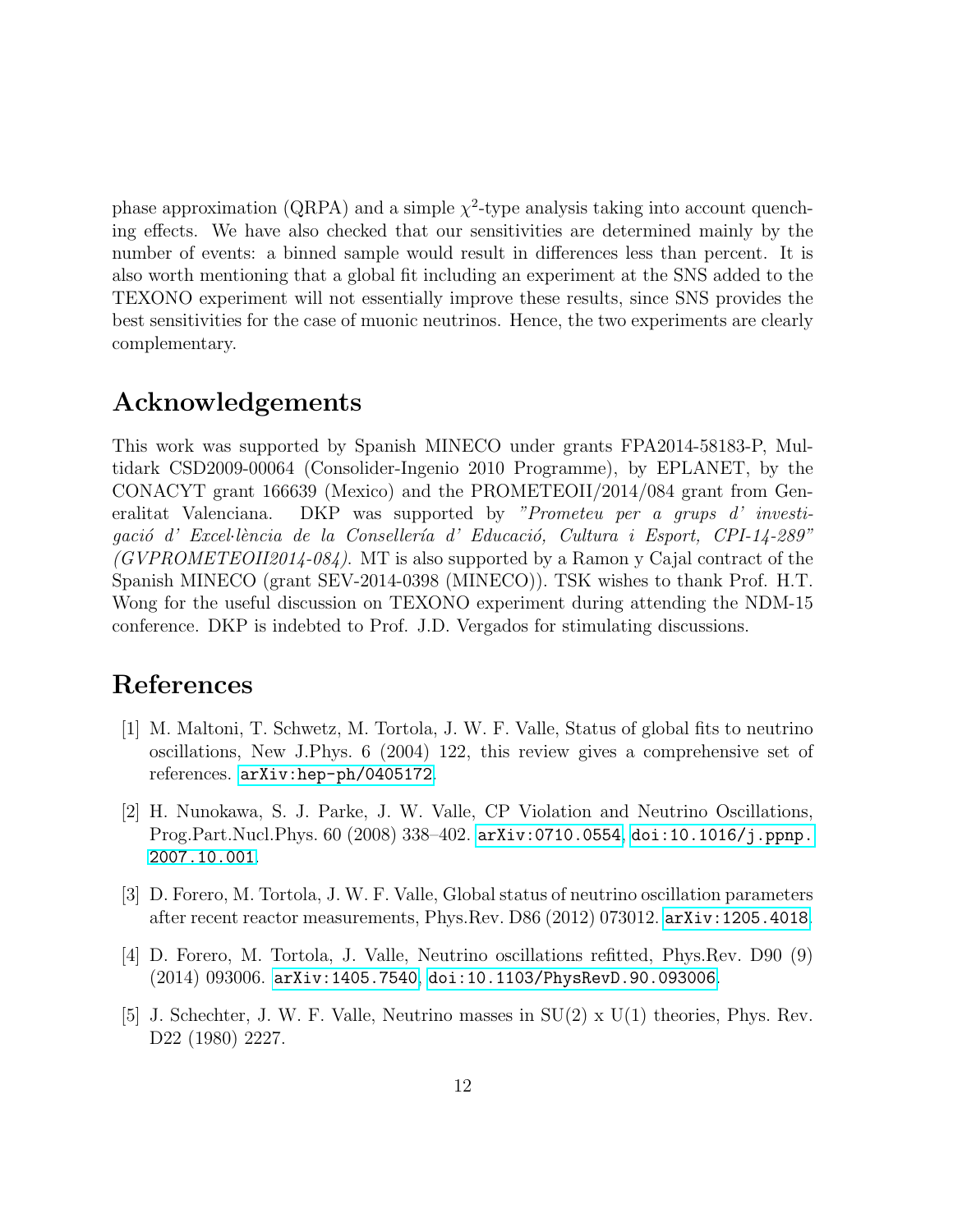phase approximation (QRPA) and a simple  $\chi^2$ -type analysis taking into account quenching effects. We have also checked that our sensitivities are determined mainly by the number of events: a binned sample would result in differences less than percent. It is also worth mentioning that a global fit including an experiment at the SNS added to the TEXONO experiment will not essentially improve these results, since SNS provides the best sensitivities for the case of muonic neutrinos. Hence, the two experiments are clearly complementary.

# Acknowledgements

This work was supported by Spanish MINECO under grants FPA2014-58183-P, Multidark CSD2009-00064 (Consolider-Ingenio 2010 Programme), by EPLANET, by the CONACYT grant 166639 (Mexico) and the PROMETEOII/2014/084 grant from Generalitat Valenciana. DKP was supported by "Prometeu per a grups d' investigació d' Excel·lència de la Consellería d' Educació, Cultura i Esport, CPI-14-289"  $(GVPROMETEOII2014-084)$ . MT is also supported by a Ramon y Cajal contract of the Spanish MINECO (grant SEV-2014-0398 (MINECO)). TSK wishes to thank Prof. H.T. Wong for the useful discussion on TEXONO experiment during attending the NDM-15 conference. DKP is indebted to Prof. J.D. Vergados for stimulating discussions.

## References

- <span id="page-12-0"></span>[1] M. Maltoni, T. Schwetz, M. Tortola, J. W. F. Valle, Status of global fits to neutrino oscillations, New J.Phys. 6 (2004) 122, this review gives a comprehensive set of references. [arXiv:hep-ph/0405172](http://arxiv.org/abs/hep-ph/0405172).
- <span id="page-12-1"></span>[2] H. Nunokawa, S. J. Parke, J. W. Valle, CP Violation and Neutrino Oscillations, Prog.Part.Nucl.Phys. 60 (2008) 338–402. [arXiv:0710.0554](http://arxiv.org/abs/0710.0554), [doi:10.1016/j.ppnp.](http://dx.doi.org/10.1016/j.ppnp.2007.10.001) [2007.10.001](http://dx.doi.org/10.1016/j.ppnp.2007.10.001).
- <span id="page-12-2"></span>[3] D. Forero, M. Tortola, J. W. F. Valle, Global status of neutrino oscillation parameters after recent reactor measurements, Phys.Rev. D86 (2012) 073012. [arXiv:1205.4018](http://arxiv.org/abs/arXiv:1205.4018).
- <span id="page-12-3"></span>[4] D. Forero, M. Tortola, J. Valle, Neutrino oscillations refitted, Phys.Rev. D90 (9) (2014) 093006. [arXiv:1405.7540](http://arxiv.org/abs/1405.7540), [doi:10.1103/PhysRevD.90.093006](http://dx.doi.org/10.1103/PhysRevD.90.093006).
- <span id="page-12-4"></span>[5] J. Schechter, J. W. F. Valle, Neutrino masses in SU(2) x U(1) theories, Phys. Rev. D22 (1980) 2227.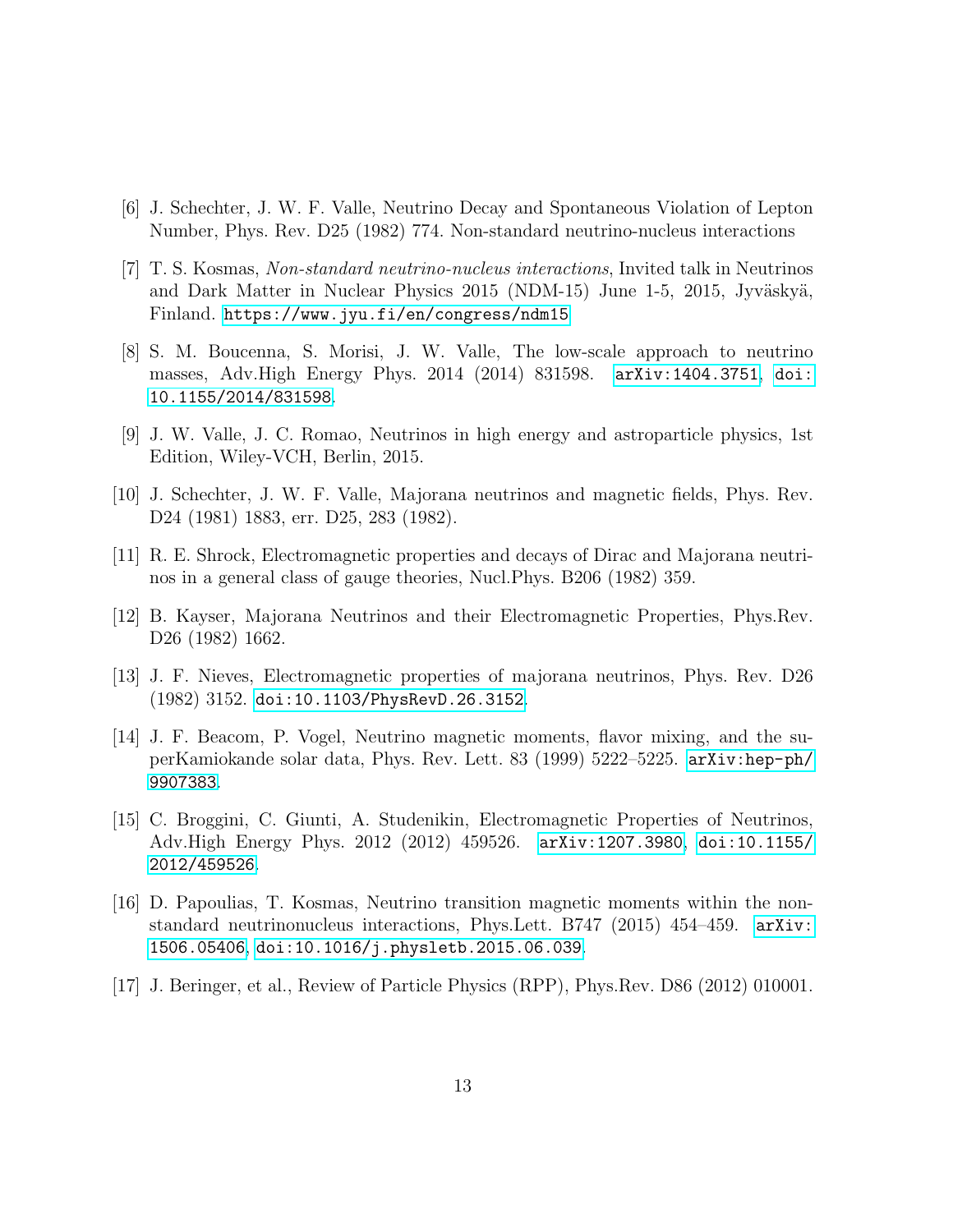- <span id="page-13-0"></span>[6] J. Schechter, J. W. F. Valle, Neutrino Decay and Spontaneous Violation of Lepton Number, Phys. Rev. D25 (1982) 774. Non-standard neutrino-nucleus interactions
- <span id="page-13-1"></span>[7] T. S. Kosmas, Non-standard neutrino-nucleus interactions, Invited talk in Neutrinos and Dark Matter in Nuclear Physics 2015 (NDM-15) June 1-5, 2015, Jyväskyä, Finland. <https://www.jyu.fi/en/congress/ndm15>
- <span id="page-13-2"></span>[8] S. M. Boucenna, S. Morisi, J. W. Valle, The low-scale approach to neutrino masses, Adv.High Energy Phys. 2014 (2014) 831598. [arXiv:1404.3751](http://arxiv.org/abs/1404.3751), [doi:](http://dx.doi.org/10.1155/2014/831598) [10.1155/2014/831598](http://dx.doi.org/10.1155/2014/831598).
- <span id="page-13-3"></span>[9] J. W. Valle, J. C. Romao, Neutrinos in high energy and astroparticle physics, 1st Edition, Wiley-VCH, Berlin, 2015.
- <span id="page-13-4"></span>[10] J. Schechter, J. W. F. Valle, Majorana neutrinos and magnetic fields, Phys. Rev. D24 (1981) 1883, err. D25, 283 (1982).
- <span id="page-13-5"></span>[11] R. E. Shrock, Electromagnetic properties and decays of Dirac and Majorana neutrinos in a general class of gauge theories, Nucl.Phys. B206 (1982) 359.
- <span id="page-13-6"></span>[12] B. Kayser, Majorana Neutrinos and their Electromagnetic Properties, Phys.Rev. D26 (1982) 1662.
- <span id="page-13-7"></span>[13] J. F. Nieves, Electromagnetic properties of majorana neutrinos, Phys. Rev. D26 (1982) 3152. [doi:10.1103/PhysRevD.26.3152](http://dx.doi.org/10.1103/PhysRevD.26.3152).
- <span id="page-13-8"></span>[14] J. F. Beacom, P. Vogel, Neutrino magnetic moments, flavor mixing, and the superKamiokande solar data, Phys. Rev. Lett. 83 (1999) 5222–5225. [arXiv:hep-ph/](http://arxiv.org/abs/hep-ph/9907383) [9907383](http://arxiv.org/abs/hep-ph/9907383).
- <span id="page-13-9"></span>[15] C. Broggini, C. Giunti, A. Studenikin, Electromagnetic Properties of Neutrinos, Adv.High Energy Phys. 2012 (2012) 459526. [arXiv:1207.3980](http://arxiv.org/abs/1207.3980), [doi:10.1155/](http://dx.doi.org/10.1155/2012/459526) [2012/459526](http://dx.doi.org/10.1155/2012/459526).
- <span id="page-13-10"></span>[16] D. Papoulias, T. Kosmas, Neutrino transition magnetic moments within the nonstandard neutrinonucleus interactions, Phys.Lett. B747 (2015) 454–459. [arXiv:](http://arxiv.org/abs/1506.05406) [1506.05406](http://arxiv.org/abs/1506.05406), [doi:10.1016/j.physletb.2015.06.039](http://dx.doi.org/10.1016/j.physletb.2015.06.039).
- <span id="page-13-11"></span>[17] J. Beringer, et al., Review of Particle Physics (RPP), Phys.Rev. D86 (2012) 010001.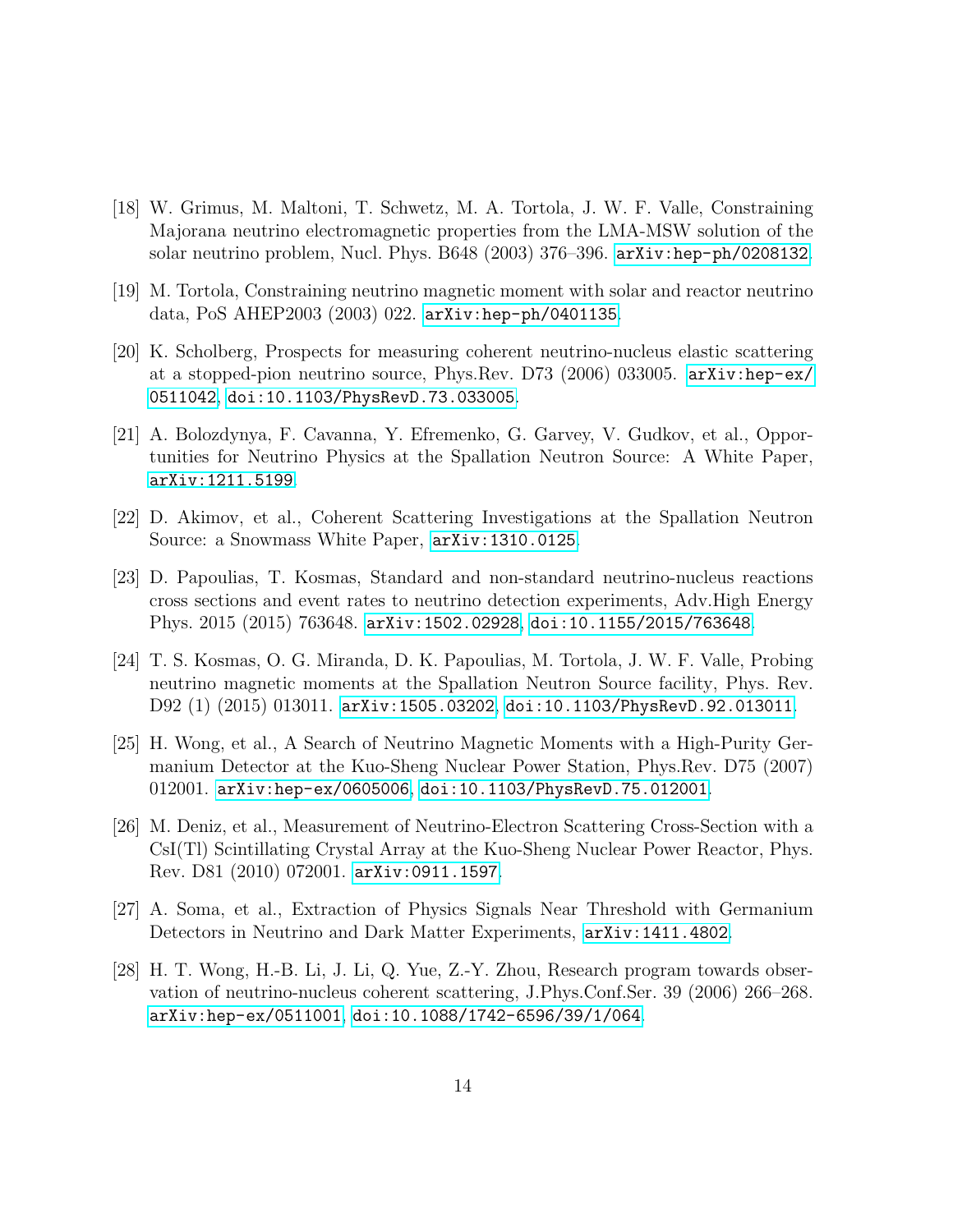- <span id="page-14-0"></span>[18] W. Grimus, M. Maltoni, T. Schwetz, M. A. Tortola, J. W. F. Valle, Constraining Majorana neutrino electromagnetic properties from the LMA-MSW solution of the solar neutrino problem, Nucl. Phys. B648 (2003) 376–396. [arXiv:hep-ph/0208132](http://arxiv.org/abs/hep-ph/0208132).
- <span id="page-14-1"></span>[19] M. Tortola, Constraining neutrino magnetic moment with solar and reactor neutrino data, PoS AHEP2003 (2003) 022. [arXiv:hep-ph/0401135](http://arxiv.org/abs/hep-ph/0401135).
- <span id="page-14-2"></span>[20] K. Scholberg, Prospects for measuring coherent neutrino-nucleus elastic scattering at a stopped-pion neutrino source, Phys.Rev. D73 (2006) 033005. [arXiv:hep-ex/](http://arxiv.org/abs/hep-ex/0511042) [0511042](http://arxiv.org/abs/hep-ex/0511042), [doi:10.1103/PhysRevD.73.033005](http://dx.doi.org/10.1103/PhysRevD.73.033005).
- <span id="page-14-3"></span>[21] A. Bolozdynya, F. Cavanna, Y. Efremenko, G. Garvey, V. Gudkov, et al., Opportunities for Neutrino Physics at the Spallation Neutron Source: A White Paper, [arXiv:1211.5199](http://arxiv.org/abs/1211.5199).
- <span id="page-14-4"></span>[22] D. Akimov, et al., Coherent Scattering Investigations at the Spallation Neutron Source: a Snowmass White Paper, [arXiv:1310.0125](http://arxiv.org/abs/1310.0125).
- <span id="page-14-5"></span>[23] D. Papoulias, T. Kosmas, Standard and non-standard neutrino-nucleus reactions cross sections and event rates to neutrino detection experiments, Adv.High Energy Phys. 2015 (2015) 763648. [arXiv:1502.02928](http://arxiv.org/abs/1502.02928), [doi:10.1155/2015/763648](http://dx.doi.org/10.1155/2015/763648).
- <span id="page-14-6"></span>[24] T. S. Kosmas, O. G. Miranda, D. K. Papoulias, M. Tortola, J. W. F. Valle, Probing neutrino magnetic moments at the Spallation Neutron Source facility, Phys. Rev. D92 (1) (2015) 013011. [arXiv:1505.03202](http://arxiv.org/abs/1505.03202), [doi:10.1103/PhysRevD.92.013011](http://dx.doi.org/10.1103/PhysRevD.92.013011).
- <span id="page-14-7"></span>[25] H. Wong, et al., A Search of Neutrino Magnetic Moments with a High-Purity Germanium Detector at the Kuo-Sheng Nuclear Power Station, Phys.Rev. D75 (2007) 012001. [arXiv:hep-ex/0605006](http://arxiv.org/abs/hep-ex/0605006), [doi:10.1103/PhysRevD.75.012001](http://dx.doi.org/10.1103/PhysRevD.75.012001).
- <span id="page-14-8"></span>[26] M. Deniz, et al., Measurement of Neutrino-Electron Scattering Cross-Section with a CsI(Tl) Scintillating Crystal Array at the Kuo-Sheng Nuclear Power Reactor, Phys. Rev. D81 (2010) 072001. [arXiv:0911.1597](http://arxiv.org/abs/0911.1597).
- <span id="page-14-9"></span>[27] A. Soma, et al., Extraction of Physics Signals Near Threshold with Germanium Detectors in Neutrino and Dark Matter Experiments, [arXiv:1411.4802](http://arxiv.org/abs/1411.4802).
- <span id="page-14-10"></span>[28] H. T. Wong, H.-B. Li, J. Li, Q. Yue, Z.-Y. Zhou, Research program towards observation of neutrino-nucleus coherent scattering, J.Phys.Conf.Ser. 39 (2006) 266–268. [arXiv:hep-ex/0511001](http://arxiv.org/abs/hep-ex/0511001), [doi:10.1088/1742-6596/39/1/064](http://dx.doi.org/10.1088/1742-6596/39/1/064).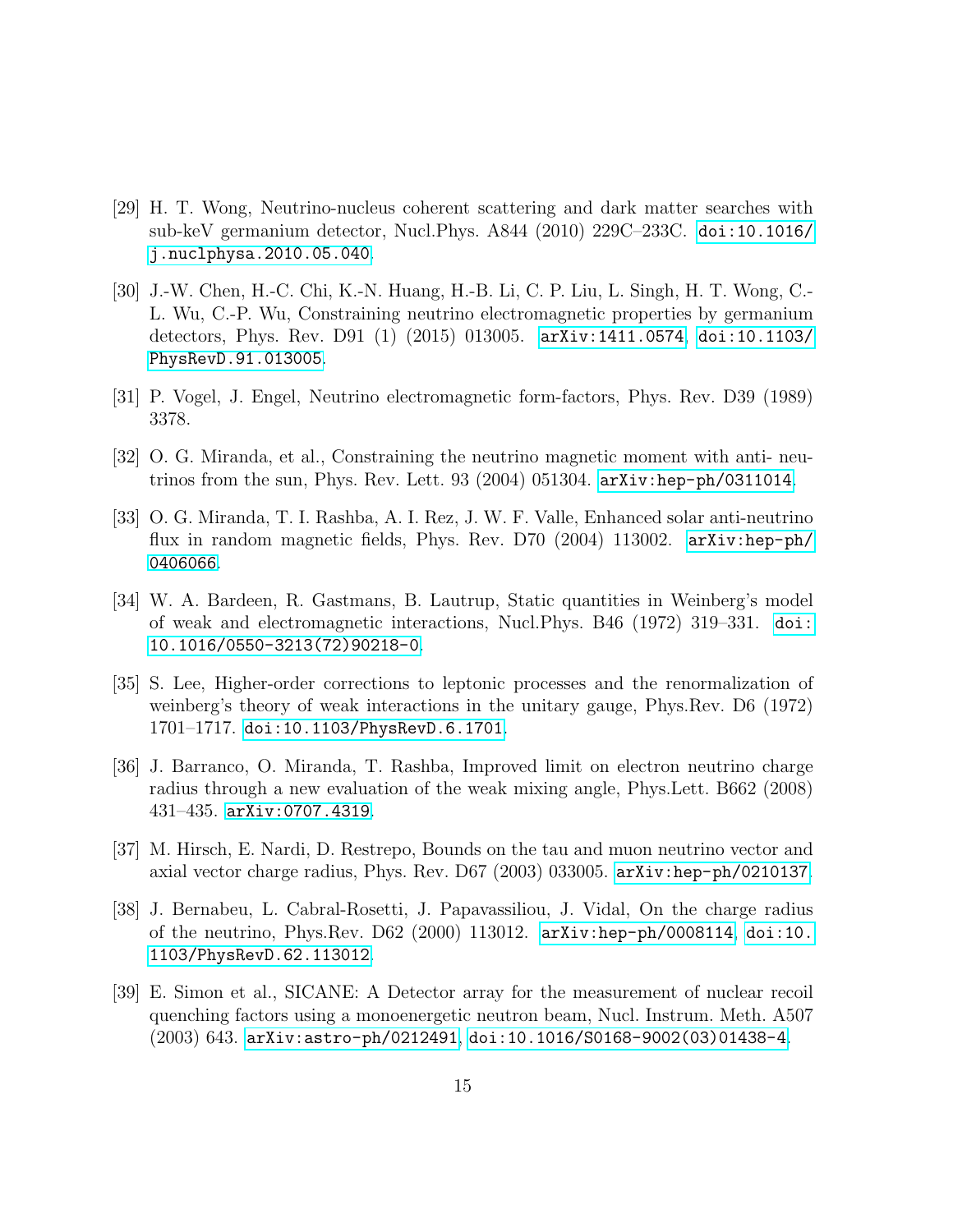- <span id="page-15-0"></span>[29] H. T. Wong, Neutrino-nucleus coherent scattering and dark matter searches with sub-keV germanium detector, Nucl.Phys. A844 (2010) 229C–233C. [doi:10.1016/](http://dx.doi.org/10.1016/j.nuclphysa.2010.05.040) [j.nuclphysa.2010.05.040](http://dx.doi.org/10.1016/j.nuclphysa.2010.05.040).
- <span id="page-15-1"></span>[30] J.-W. Chen, H.-C. Chi, K.-N. Huang, H.-B. Li, C. P. Liu, L. Singh, H. T. Wong, C.- L. Wu, C.-P. Wu, Constraining neutrino electromagnetic properties by germanium detectors, Phys. Rev. D91 (1) (2015) 013005. [arXiv:1411.0574](http://arxiv.org/abs/1411.0574), [doi:10.1103/](http://dx.doi.org/10.1103/PhysRevD.91.013005) [PhysRevD.91.013005](http://dx.doi.org/10.1103/PhysRevD.91.013005).
- <span id="page-15-2"></span>[31] P. Vogel, J. Engel, Neutrino electromagnetic form-factors, Phys. Rev. D39 (1989) 3378.
- <span id="page-15-3"></span>[32] O. G. Miranda, et al., Constraining the neutrino magnetic moment with anti- neutrinos from the sun, Phys. Rev. Lett. 93 (2004) 051304. [arXiv:hep-ph/0311014](http://arxiv.org/abs/hep-ph/0311014).
- <span id="page-15-4"></span>[33] O. G. Miranda, T. I. Rashba, A. I. Rez, J. W. F. Valle, Enhanced solar anti-neutrino flux in random magnetic fields, Phys. Rev. D70  $(2004)$  113002.  $arXiv:hep-ph/$ [0406066](http://arxiv.org/abs/hep-ph/0406066).
- <span id="page-15-5"></span>[34] W. A. Bardeen, R. Gastmans, B. Lautrup, Static quantities in Weinberg's model of weak and electromagnetic interactions, Nucl.Phys. B46 (1972) 319–331. [doi:](http://dx.doi.org/10.1016/0550-3213(72)90218-0) [10.1016/0550-3213\(72\)90218-0](http://dx.doi.org/10.1016/0550-3213(72)90218-0).
- <span id="page-15-6"></span>[35] S. Lee, Higher-order corrections to leptonic processes and the renormalization of weinberg's theory of weak interactions in the unitary gauge, Phys.Rev. D6 (1972) 1701–1717. [doi:10.1103/PhysRevD.6.1701](http://dx.doi.org/10.1103/PhysRevD.6.1701).
- <span id="page-15-7"></span>[36] J. Barranco, O. Miranda, T. Rashba, Improved limit on electron neutrino charge radius through a new evaluation of the weak mixing angle, Phys.Lett. B662 (2008) 431–435. [arXiv:0707.4319](http://arxiv.org/abs/0707.4319).
- <span id="page-15-8"></span>[37] M. Hirsch, E. Nardi, D. Restrepo, Bounds on the tau and muon neutrino vector and axial vector charge radius, Phys. Rev. D67 (2003) 033005. [arXiv:hep-ph/0210137](http://arxiv.org/abs/hep-ph/0210137).
- <span id="page-15-9"></span>[38] J. Bernabeu, L. Cabral-Rosetti, J. Papavassiliou, J. Vidal, On the charge radius of the neutrino, Phys.Rev. D62 (2000) 113012. [arXiv:hep-ph/0008114](http://arxiv.org/abs/hep-ph/0008114), [doi:10.](http://dx.doi.org/10.1103/PhysRevD.62.113012) [1103/PhysRevD.62.113012](http://dx.doi.org/10.1103/PhysRevD.62.113012).
- <span id="page-15-10"></span>[39] E. Simon et al., SICANE: A Detector array for the measurement of nuclear recoil quenching factors using a monoenergetic neutron beam, Nucl. Instrum. Meth. A507 (2003) 643. [arXiv:astro-ph/0212491](http://arxiv.org/abs/astro-ph/0212491), [doi:10.1016/S0168-9002\(03\)01438-4](http://dx.doi.org/10.1016/S0168-9002(03)01438-4).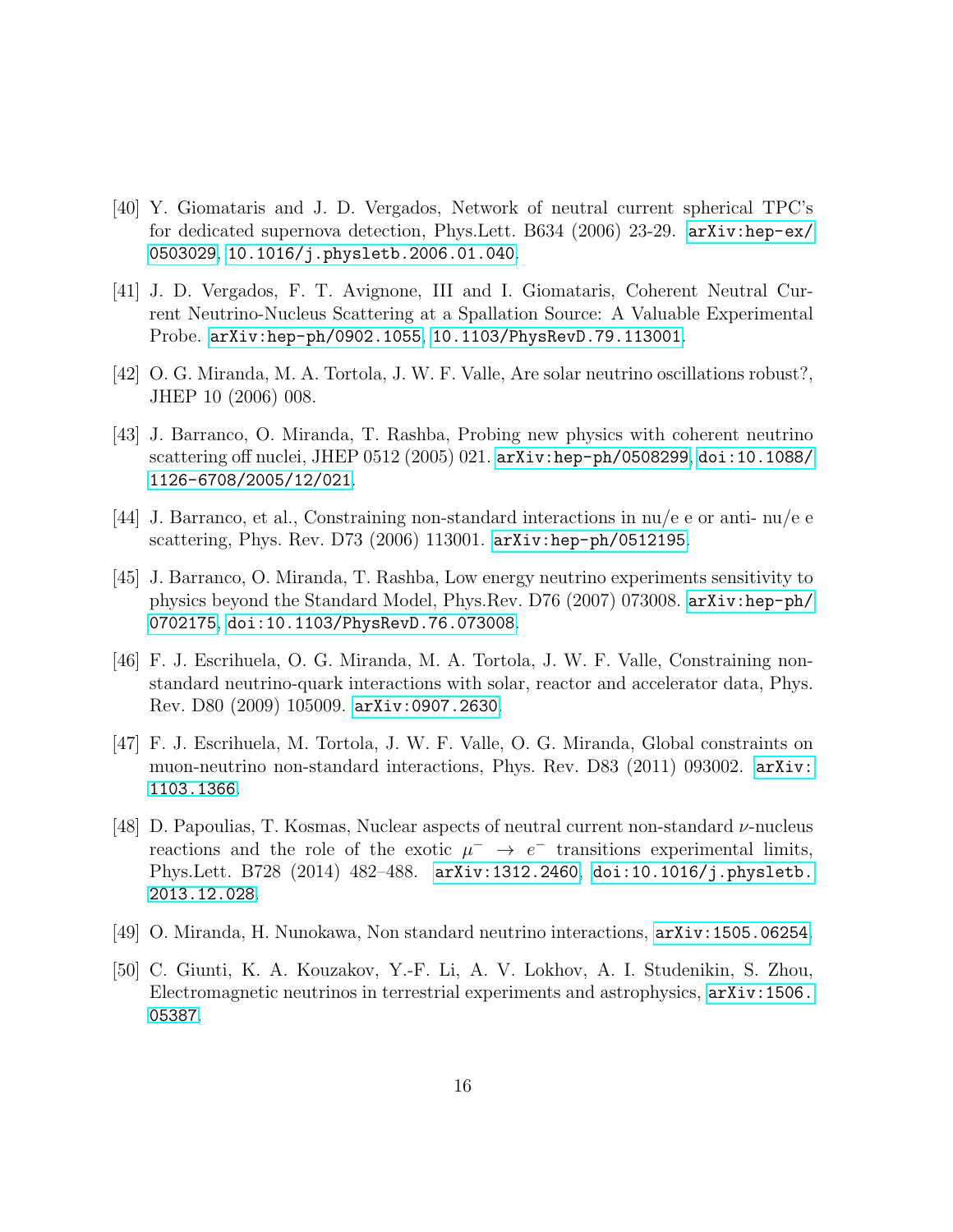- <span id="page-16-0"></span>[40] Y. Giomataris and J. D. Vergados, Network of neutral current spherical TPC's for dedicated supernova detection, Phys.Lett. B634 (2006) 23-29. [arXiv:hep-ex/](http://arxiv.org/abs/hep-ex/0503029) [0503029](http://arxiv.org/abs/hep-ex/0503029), [10.1016/j.physletb.2006.01.040](http://dx.doi.org/10.1016/j.physletb.2006.01.040).
- <span id="page-16-1"></span>[41] J. D. Vergados, F. T. Avignone, III and I. Giomataris, Coherent Neutral Current Neutrino-Nucleus Scattering at a Spallation Source: A Valuable Experimental Probe. [arXiv:hep-ph/0902.1055](http://arxiv.org/pdf/0902.1055v1.pdf), [10.1103/PhysRevD.79.113001](http://dx.doi.org/10.1103/PhysRevD.79.113001).
- <span id="page-16-2"></span>[42] O. G. Miranda, M. A. Tortola, J. W. F. Valle, Are solar neutrino oscillations robust?, JHEP 10 (2006) 008.
- <span id="page-16-3"></span>[43] J. Barranco, O. Miranda, T. Rashba, Probing new physics with coherent neutrino scattering off nuclei, JHEP 0512 (2005) 021. [arXiv:hep-ph/0508299](http://arxiv.org/abs/hep-ph/0508299), [doi:10.1088/](http://dx.doi.org/10.1088/1126-6708/2005/12/021) [1126-6708/2005/12/021](http://dx.doi.org/10.1088/1126-6708/2005/12/021).
- <span id="page-16-4"></span>[44] J. Barranco, et al., Constraining non-standard interactions in nu/e e or anti- nu/e e scattering, Phys. Rev. D73 (2006) 113001. [arXiv:hep-ph/0512195](http://arxiv.org/abs/hep-ph/0512195).
- <span id="page-16-5"></span>[45] J. Barranco, O. Miranda, T. Rashba, Low energy neutrino experiments sensitivity to physics beyond the Standard Model, Phys.Rev. D76 (2007) 073008. [arXiv:hep-ph/](http://arxiv.org/abs/hep-ph/0702175) [0702175](http://arxiv.org/abs/hep-ph/0702175), [doi:10.1103/PhysRevD.76.073008](http://dx.doi.org/10.1103/PhysRevD.76.073008).
- <span id="page-16-6"></span>[46] F. J. Escrihuela, O. G. Miranda, M. A. Tortola, J. W. F. Valle, Constraining nonstandard neutrino-quark interactions with solar, reactor and accelerator data, Phys. Rev. D80 (2009) 105009. [arXiv:0907.2630](http://arxiv.org/abs/0907.2630).
- <span id="page-16-7"></span>[47] F. J. Escrihuela, M. Tortola, J. W. F. Valle, O. G. Miranda, Global constraints on muon-neutrino non-standard interactions, Phys. Rev. D83 (2011) 093002. [arXiv:](http://arxiv.org/abs/1103.1366) [1103.1366](http://arxiv.org/abs/1103.1366).
- <span id="page-16-8"></span>[48] D. Papoulias, T. Kosmas, Nuclear aspects of neutral current non-standard  $\nu$ -nucleus reactions and the role of the exotic  $\mu^- \to e^-$  transitions experimental limits, Phys.Lett. B728 (2014) 482–488. [arXiv:1312.2460](http://arxiv.org/abs/1312.2460), [doi:10.1016/j.physletb.](http://dx.doi.org/10.1016/j.physletb.2013.12.028) [2013.12.028](http://dx.doi.org/10.1016/j.physletb.2013.12.028).
- <span id="page-16-9"></span>[49] O. Miranda, H. Nunokawa, Non standard neutrino interactions, [arXiv:1505.06254](http://arxiv.org/abs/1505.06254).
- <span id="page-16-10"></span>[50] C. Giunti, K. A. Kouzakov, Y.-F. Li, A. V. Lokhov, A. I. Studenikin, S. Zhou, Electromagnetic neutrinos in terrestrial experiments and astrophysics, [arXiv:1506.](http://arxiv.org/abs/1506.05387) [05387](http://arxiv.org/abs/1506.05387).